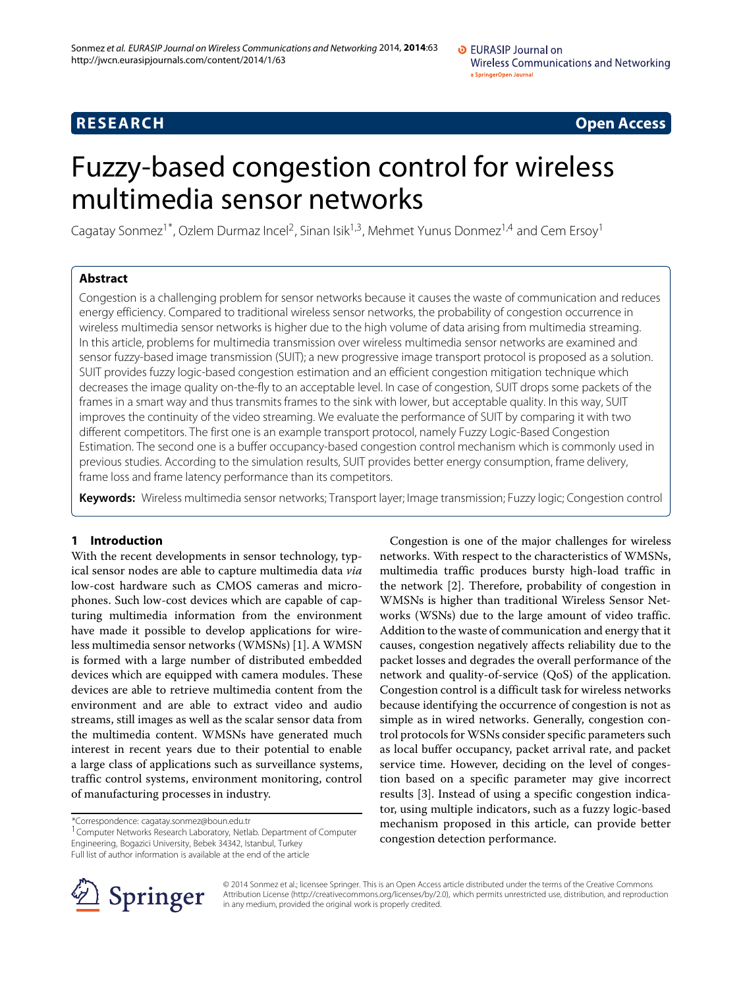# **RESEARCH Open Access**

# Fuzzy-based congestion control for wireless multimedia sensor networks

Cagatay Sonmez<sup>1\*</sup>, Ozlem Durmaz Incel<sup>2</sup>, Sinan Isik<sup>1,3</sup>, Mehmet Yunus Donmez<sup>1,4</sup> and Cem Ersoy<sup>1</sup>

# **Abstract**

Congestion is a challenging problem for sensor networks because it causes the waste of communication and reduces energy efficiency. Compared to traditional wireless sensor networks, the probability of congestion occurrence in wireless multimedia sensor networks is higher due to the high volume of data arising from multimedia streaming. In this article, problems for multimedia transmission over wireless multimedia sensor networks are examined and sensor fuzzy-based image transmission (SUIT); a new progressive image transport protocol is proposed as a solution. SUIT provides fuzzy logic-based congestion estimation and an efficient congestion mitigation technique which decreases the image quality on-the-fly to an acceptable level. In case of congestion, SUIT drops some packets of the frames in a smart way and thus transmits frames to the sink with lower, but acceptable quality. In this way, SUIT improves the continuity of the video streaming. We evaluate the performance of SUIT by comparing it with two different competitors. The first one is an example transport protocol, namely Fuzzy Logic-Based Congestion Estimation. The second one is a buffer occupancy-based congestion control mechanism which is commonly used in previous studies. According to the simulation results, SUIT provides better energy consumption, frame delivery, frame loss and frame latency performance than its competitors.

**Keywords:** Wireless multimedia sensor networks; Transport layer; Image transmission; Fuzzy logic; Congestion control

# **1 Introduction**

With the recent developments in sensor technology, typical sensor nodes are able to capture multimedia data *via* low-cost hardware such as CMOS cameras and microphones. Such low-cost devices which are capable of capturing multimedia information from the environment have made it possible to develop applications for wireless multimedia sensor networks (WMSNs) [\[1\]](#page-15-0). A WMSN is formed with a large number of distributed embedded devices which are equipped with camera modules. These devices are able to retrieve multimedia content from the environment and are able to extract video and audio streams, still images as well as the scalar sensor data from the multimedia content. WMSNs have generated much interest in recent years due to their potential to enable a large class of applications such as surveillance systems, traffic control systems, environment monitoring, control of manufacturing processes in industry.

\*Correspondence: [cagatay.sonmez@boun.edu.tr](mailto:cagatay.sonmez@boun.edu.tr)

<sup>1</sup> Computer Networks Research Laboratory, Netlab. Department of Computer Engineering, Bogazici University, Bebek 34342, Istanbul, Turkey Full list of author information is available at the end of the article

multimedia traffic produces bursty high-load traffic in the network [\[2\]](#page-15-1). Therefore, probability of congestion in WMSNs is higher than traditional Wireless Sensor Networks (WSNs) due to the large amount of video traffic. Addition to the waste of communication and energy that it causes, congestion negatively affects reliability due to the packet losses and degrades the overall performance of the network and quality-of-service (QoS) of the application. Congestion control is a difficult task for wireless networks because identifying the occurrence of congestion is not as simple as in wired networks. Generally, congestion control protocols for WSNs consider specific parameters such as local buffer occupancy, packet arrival rate, and packet service time. However, deciding on the level of congestion based on a specific parameter may give incorrect results [\[3\]](#page-15-2). Instead of using a specific congestion indicator, using multiple indicators, such as a fuzzy logic-based mechanism proposed in this article, can provide better congestion detection performance.

Congestion is one of the major challenges for wireless networks. With respect to the characteristics of WMSNs,



© 2014 Sonmez et al.; licensee Springer. This is an Open Access article distributed under the terms of the Creative Commons Attribution License [\(http://creativecommons.org/licenses/by/2.0\)](http://creativecommons.org/licenses/by/2.0), which permits unrestricted use, distribution, and reproduction in any medium, provided the original work is properly credited.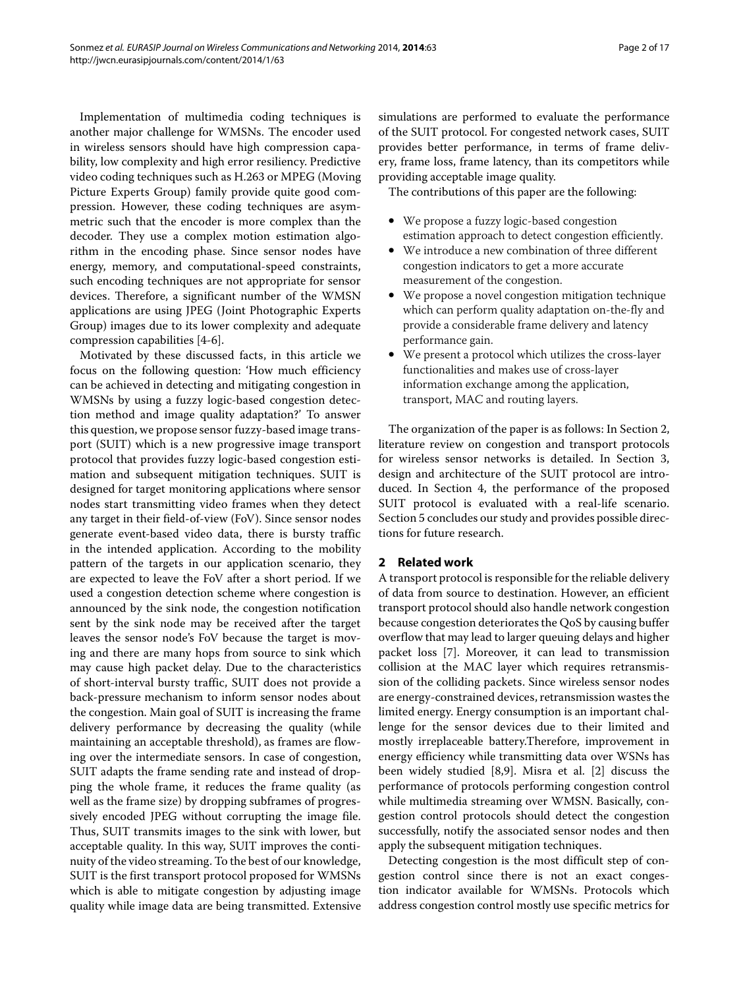Implementation of multimedia coding techniques is another major challenge for WMSNs. The encoder used in wireless sensors should have high compression capability, low complexity and high error resiliency. Predictive video coding techniques such as H.263 or MPEG (Moving Picture Experts Group) family provide quite good compression. However, these coding techniques are asymmetric such that the encoder is more complex than the decoder. They use a complex motion estimation algorithm in the encoding phase. Since sensor nodes have energy, memory, and computational-speed constraints, such encoding techniques are not appropriate for sensor devices. Therefore, a significant number of the WMSN applications are using JPEG (Joint Photographic Experts Group) images due to its lower complexity and adequate compression capabilities [\[4-](#page-15-3)[6\]](#page-15-4).

Motivated by these discussed facts, in this article we focus on the following question: 'How much efficiency can be achieved in detecting and mitigating congestion in WMSNs by using a fuzzy logic-based congestion detection method and image quality adaptation?' To answer this question, we propose sensor fuzzy-based image transport (SUIT) which is a new progressive image transport protocol that provides fuzzy logic-based congestion estimation and subsequent mitigation techniques. SUIT is designed for target monitoring applications where sensor nodes start transmitting video frames when they detect any target in their field-of-view (FoV). Since sensor nodes generate event-based video data, there is bursty traffic in the intended application. According to the mobility pattern of the targets in our application scenario, they are expected to leave the FoV after a short period. If we used a congestion detection scheme where congestion is announced by the sink node, the congestion notification sent by the sink node may be received after the target leaves the sensor node's FoV because the target is moving and there are many hops from source to sink which may cause high packet delay. Due to the characteristics of short-interval bursty traffic, SUIT does not provide a back-pressure mechanism to inform sensor nodes about the congestion. Main goal of SUIT is increasing the frame delivery performance by decreasing the quality (while maintaining an acceptable threshold), as frames are flowing over the intermediate sensors. In case of congestion, SUIT adapts the frame sending rate and instead of dropping the whole frame, it reduces the frame quality (as well as the frame size) by dropping subframes of progressively encoded JPEG without corrupting the image file. Thus, SUIT transmits images to the sink with lower, but acceptable quality. In this way, SUIT improves the continuity of the video streaming. To the best of our knowledge, SUIT is the first transport protocol proposed for WMSNs which is able to mitigate congestion by adjusting image quality while image data are being transmitted. Extensive

simulations are performed to evaluate the performance of the SUIT protocol. For congested network cases, SUIT provides better performance, in terms of frame delivery, frame loss, frame latency, than its competitors while providing acceptable image quality.

The contributions of this paper are the following:

- We propose a fuzzy logic-based congestion estimation approach to detect congestion efficiently.
- We introduce a new combination of three different congestion indicators to get a more accurate measurement of the congestion.
- We propose a novel congestion mitigation technique which can perform quality adaptation on-the-fly and provide a considerable frame delivery and latency performance gain.
- We present a protocol which utilizes the cross-layer functionalities and makes use of cross-layer information exchange among the application, transport, MAC and routing layers.

The organization of the paper is as follows: In Section [2,](#page-1-0) literature review on congestion and transport protocols for wireless sensor networks is detailed. In Section [3,](#page-3-0) design and architecture of the SUIT protocol are introduced. In Section [4,](#page-10-0) the performance of the proposed SUIT protocol is evaluated with a real-life scenario. Section [5](#page-14-0) concludes our study and provides possible directions for future research.

# <span id="page-1-0"></span>**2 Related work**

A transport protocol is responsible for the reliable delivery of data from source to destination. However, an efficient transport protocol should also handle network congestion because congestion deteriorates the QoS by causing buffer overflow that may lead to larger queuing delays and higher packet loss [\[7\]](#page-15-5). Moreover, it can lead to transmission collision at the MAC layer which requires retransmission of the colliding packets. Since wireless sensor nodes are energy-constrained devices, retransmission wastes the limited energy. Energy consumption is an important challenge for the sensor devices due to their limited and mostly irreplaceable battery.Therefore, improvement in energy efficiency while transmitting data over WSNs has been widely studied [\[8,](#page-15-6)[9\]](#page-15-7). Misra et al. [\[2\]](#page-15-1) discuss the performance of protocols performing congestion control while multimedia streaming over WMSN. Basically, congestion control protocols should detect the congestion successfully, notify the associated sensor nodes and then apply the subsequent mitigation techniques.

Detecting congestion is the most difficult step of congestion control since there is not an exact congestion indicator available for WMSNs. Protocols which address congestion control mostly use specific metrics for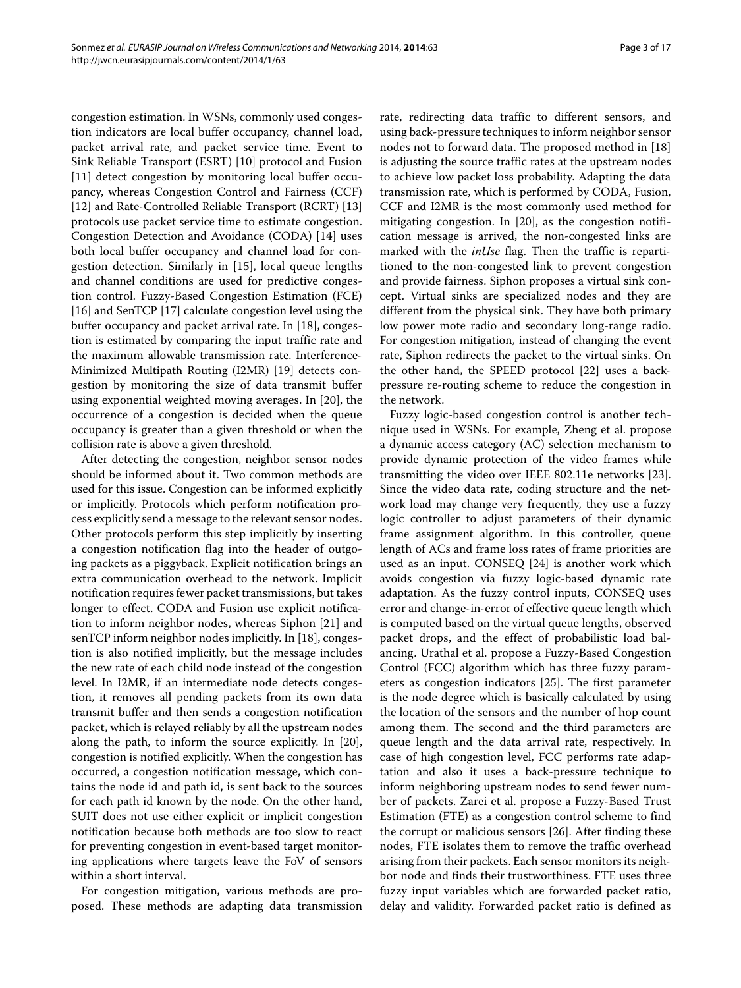congestion estimation. In WSNs, commonly used congestion indicators are local buffer occupancy, channel load, packet arrival rate, and packet service time. Event to Sink Reliable Transport (ESRT) [\[10\]](#page-15-8) protocol and Fusion [\[11\]](#page-15-9) detect congestion by monitoring local buffer occupancy, whereas Congestion Control and Fairness (CCF) [\[12\]](#page-15-10) and Rate-Controlled Reliable Transport (RCRT) [\[13\]](#page-15-11) protocols use packet service time to estimate congestion. Congestion Detection and Avoidance (CODA) [\[14\]](#page-15-12) uses both local buffer occupancy and channel load for congestion detection. Similarly in [\[15\]](#page-15-13), local queue lengths and channel conditions are used for predictive congestion control. Fuzzy-Based Congestion Estimation (FCE) [\[16\]](#page-15-14) and SenTCP [\[17\]](#page-15-15) calculate congestion level using the buffer occupancy and packet arrival rate. In [\[18\]](#page-15-16), congestion is estimated by comparing the input traffic rate and the maximum allowable transmission rate. Interference-Minimized Multipath Routing (I2MR) [\[19\]](#page-15-17) detects congestion by monitoring the size of data transmit buffer using exponential weighted moving averages. In [\[20\]](#page-15-18), the occurrence of a congestion is decided when the queue occupancy is greater than a given threshold or when the collision rate is above a given threshold.

After detecting the congestion, neighbor sensor nodes should be informed about it. Two common methods are used for this issue. Congestion can be informed explicitly or implicitly. Protocols which perform notification process explicitly send a message to the relevant sensor nodes. Other protocols perform this step implicitly by inserting a congestion notification flag into the header of outgoing packets as a piggyback. Explicit notification brings an extra communication overhead to the network. Implicit notification requires fewer packet transmissions, but takes longer to effect. CODA and Fusion use explicit notification to inform neighbor nodes, whereas Siphon [\[21\]](#page-15-19) and senTCP inform neighbor nodes implicitly. In [\[18\]](#page-15-16), congestion is also notified implicitly, but the message includes the new rate of each child node instead of the congestion level. In I2MR, if an intermediate node detects congestion, it removes all pending packets from its own data transmit buffer and then sends a congestion notification packet, which is relayed reliably by all the upstream nodes along the path, to inform the source explicitly. In [\[20\]](#page-15-18), congestion is notified explicitly. When the congestion has occurred, a congestion notification message, which contains the node id and path id, is sent back to the sources for each path id known by the node. On the other hand, SUIT does not use either explicit or implicit congestion notification because both methods are too slow to react for preventing congestion in event-based target monitoring applications where targets leave the FoV of sensors within a short interval.

For congestion mitigation, various methods are proposed. These methods are adapting data transmission rate, redirecting data traffic to different sensors, and using back-pressure techniques to inform neighbor sensor nodes not to forward data. The proposed method in [\[18\]](#page-15-16) is adjusting the source traffic rates at the upstream nodes to achieve low packet loss probability. Adapting the data transmission rate, which is performed by CODA, Fusion, CCF and I2MR is the most commonly used method for mitigating congestion. In [\[20\]](#page-15-18), as the congestion notification message is arrived, the non-congested links are marked with the *inUse* flag. Then the traffic is repartitioned to the non-congested link to prevent congestion and provide fairness. Siphon proposes a virtual sink concept. Virtual sinks are specialized nodes and they are different from the physical sink. They have both primary low power mote radio and secondary long-range radio. For congestion mitigation, instead of changing the event rate, Siphon redirects the packet to the virtual sinks. On the other hand, the SPEED protocol [\[22\]](#page-16-0) uses a backpressure re-routing scheme to reduce the congestion in the network.

Fuzzy logic-based congestion control is another technique used in WSNs. For example, Zheng et al. propose a dynamic access category (AC) selection mechanism to provide dynamic protection of the video frames while transmitting the video over IEEE 802.11e networks [\[23\]](#page-16-1). Since the video data rate, coding structure and the network load may change very frequently, they use a fuzzy logic controller to adjust parameters of their dynamic frame assignment algorithm. In this controller, queue length of ACs and frame loss rates of frame priorities are used as an input. CONSEQ [\[24\]](#page-16-2) is another work which avoids congestion via fuzzy logic-based dynamic rate adaptation. As the fuzzy control inputs, CONSEQ uses error and change-in-error of effective queue length which is computed based on the virtual queue lengths, observed packet drops, and the effect of probabilistic load balancing. Urathal et al. propose a Fuzzy-Based Congestion Control (FCC) algorithm which has three fuzzy parameters as congestion indicators [\[25\]](#page-16-3). The first parameter is the node degree which is basically calculated by using the location of the sensors and the number of hop count among them. The second and the third parameters are queue length and the data arrival rate, respectively. In case of high congestion level, FCC performs rate adaptation and also it uses a back-pressure technique to inform neighboring upstream nodes to send fewer number of packets. Zarei et al. propose a Fuzzy-Based Trust Estimation (FTE) as a congestion control scheme to find the corrupt or malicious sensors [\[26\]](#page-16-4). After finding these nodes, FTE isolates them to remove the traffic overhead arising from their packets. Each sensor monitors its neighbor node and finds their trustworthiness. FTE uses three fuzzy input variables which are forwarded packet ratio, delay and validity. Forwarded packet ratio is defined as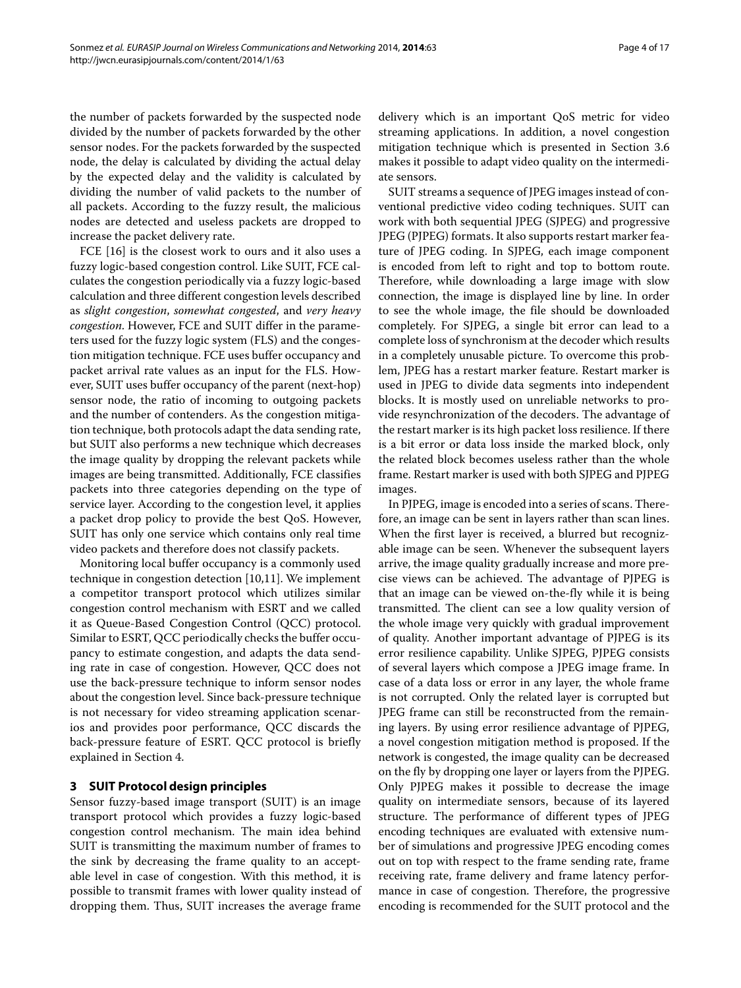the number of packets forwarded by the suspected node divided by the number of packets forwarded by the other sensor nodes. For the packets forwarded by the suspected node, the delay is calculated by dividing the actual delay by the expected delay and the validity is calculated by dividing the number of valid packets to the number of all packets. According to the fuzzy result, the malicious nodes are detected and useless packets are dropped to increase the packet delivery rate.

FCE [\[16\]](#page-15-14) is the closest work to ours and it also uses a fuzzy logic-based congestion control. Like SUIT, FCE calculates the congestion periodically via a fuzzy logic-based calculation and three different congestion levels described as *slight congestion*, *somewhat congested*, and *very heavy congestion*. However, FCE and SUIT differ in the parameters used for the fuzzy logic system (FLS) and the congestion mitigation technique. FCE uses buffer occupancy and packet arrival rate values as an input for the FLS. However, SUIT uses buffer occupancy of the parent (next-hop) sensor node, the ratio of incoming to outgoing packets and the number of contenders. As the congestion mitigation technique, both protocols adapt the data sending rate, but SUIT also performs a new technique which decreases the image quality by dropping the relevant packets while images are being transmitted. Additionally, FCE classifies packets into three categories depending on the type of service layer. According to the congestion level, it applies a packet drop policy to provide the best QoS. However, SUIT has only one service which contains only real time video packets and therefore does not classify packets.

Monitoring local buffer occupancy is a commonly used technique in congestion detection [\[10](#page-15-8)[,11\]](#page-15-9). We implement a competitor transport protocol which utilizes similar congestion control mechanism with ESRT and we called it as Queue-Based Congestion Control (QCC) protocol. Similar to ESRT, QCC periodically checks the buffer occupancy to estimate congestion, and adapts the data sending rate in case of congestion. However, QCC does not use the back-pressure technique to inform sensor nodes about the congestion level. Since back-pressure technique is not necessary for video streaming application scenarios and provides poor performance, QCC discards the back-pressure feature of ESRT. QCC protocol is briefly explained in Section [4.](#page-10-0)

## <span id="page-3-0"></span>**3 SUIT Protocol design principles**

Sensor fuzzy-based image transport (SUIT) is an image transport protocol which provides a fuzzy logic-based congestion control mechanism. The main idea behind SUIT is transmitting the maximum number of frames to the sink by decreasing the frame quality to an acceptable level in case of congestion. With this method, it is possible to transmit frames with lower quality instead of dropping them. Thus, SUIT increases the average frame

delivery which is an important QoS metric for video streaming applications. In addition, a novel congestion mitigation technique which is presented in Section [3.6](#page-9-0) makes it possible to adapt video quality on the intermediate sensors.

SUIT streams a sequence of JPEG images instead of conventional predictive video coding techniques. SUIT can work with both sequential JPEG (SJPEG) and progressive JPEG (PJPEG) formats. It also supports restart marker feature of JPEG coding. In SJPEG, each image component is encoded from left to right and top to bottom route. Therefore, while downloading a large image with slow connection, the image is displayed line by line. In order to see the whole image, the file should be downloaded completely. For SJPEG, a single bit error can lead to a complete loss of synchronism at the decoder which results in a completely unusable picture. To overcome this problem, JPEG has a restart marker feature. Restart marker is used in JPEG to divide data segments into independent blocks. It is mostly used on unreliable networks to provide resynchronization of the decoders. The advantage of the restart marker is its high packet loss resilience. If there is a bit error or data loss inside the marked block, only the related block becomes useless rather than the whole frame. Restart marker is used with both SJPEG and PJPEG images.

In PJPEG, image is encoded into a series of scans. Therefore, an image can be sent in layers rather than scan lines. When the first layer is received, a blurred but recognizable image can be seen. Whenever the subsequent layers arrive, the image quality gradually increase and more precise views can be achieved. The advantage of PJPEG is that an image can be viewed on-the-fly while it is being transmitted. The client can see a low quality version of the whole image very quickly with gradual improvement of quality. Another important advantage of PJPEG is its error resilience capability. Unlike SJPEG, PJPEG consists of several layers which compose a JPEG image frame. In case of a data loss or error in any layer, the whole frame is not corrupted. Only the related layer is corrupted but JPEG frame can still be reconstructed from the remaining layers. By using error resilience advantage of PJPEG, a novel congestion mitigation method is proposed. If the network is congested, the image quality can be decreased on the fly by dropping one layer or layers from the PJPEG. Only PJPEG makes it possible to decrease the image quality on intermediate sensors, because of its layered structure. The performance of different types of JPEG encoding techniques are evaluated with extensive number of simulations and progressive JPEG encoding comes out on top with respect to the frame sending rate, frame receiving rate, frame delivery and frame latency performance in case of congestion. Therefore, the progressive encoding is recommended for the SUIT protocol and the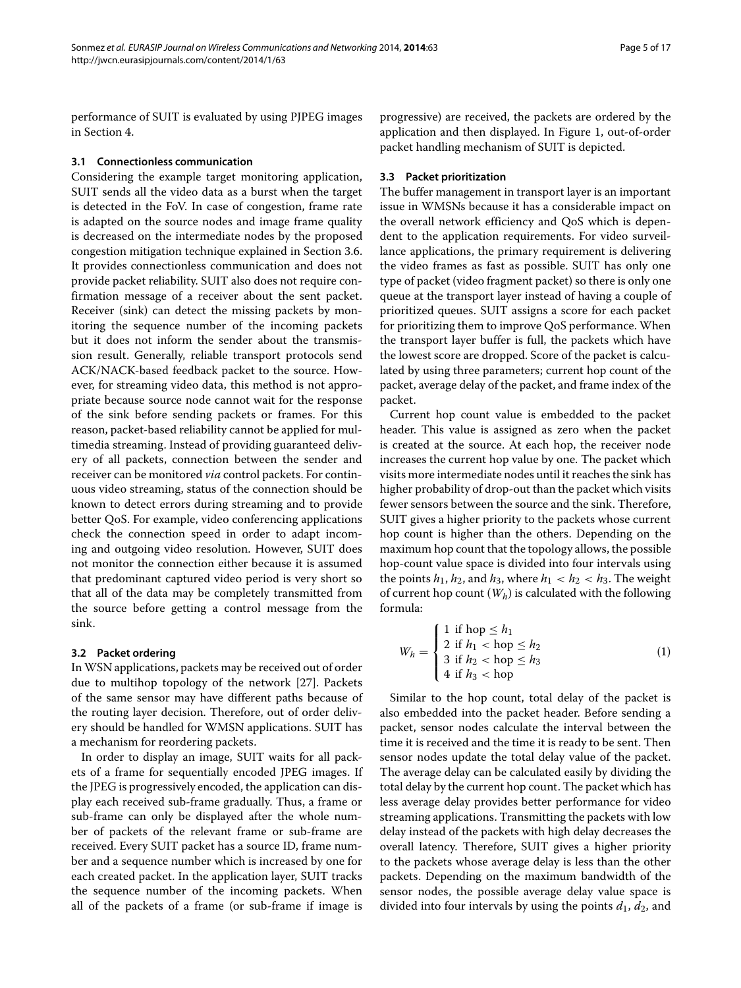performance of SUIT is evaluated by using PJPEG images in Section [4.](#page-10-0)

#### **3.1 Connectionless communication**

Considering the example target monitoring application, SUIT sends all the video data as a burst when the target is detected in the FoV. In case of congestion, frame rate is adapted on the source nodes and image frame quality is decreased on the intermediate nodes by the proposed congestion mitigation technique explained in Section [3.6.](#page-9-0) It provides connectionless communication and does not provide packet reliability. SUIT also does not require confirmation message of a receiver about the sent packet. Receiver (sink) can detect the missing packets by monitoring the sequence number of the incoming packets but it does not inform the sender about the transmission result. Generally, reliable transport protocols send ACK/NACK-based feedback packet to the source. However, for streaming video data, this method is not appropriate because source node cannot wait for the response of the sink before sending packets or frames. For this reason, packet-based reliability cannot be applied for multimedia streaming. Instead of providing guaranteed delivery of all packets, connection between the sender and receiver can be monitored *via* control packets. For continuous video streaming, status of the connection should be known to detect errors during streaming and to provide better QoS. For example, video conferencing applications check the connection speed in order to adapt incoming and outgoing video resolution. However, SUIT does not monitor the connection either because it is assumed that predominant captured video period is very short so that all of the data may be completely transmitted from the source before getting a control message from the sink.

## **3.2 Packet ordering**

In WSN applications, packets may be received out of order due to multihop topology of the network [\[27\]](#page-16-5). Packets of the same sensor may have different paths because of the routing layer decision. Therefore, out of order delivery should be handled for WMSN applications. SUIT has a mechanism for reordering packets.

In order to display an image, SUIT waits for all packets of a frame for sequentially encoded JPEG images. If the JPEG is progressively encoded, the application can display each received sub-frame gradually. Thus, a frame or sub-frame can only be displayed after the whole number of packets of the relevant frame or sub-frame are received. Every SUIT packet has a source ID, frame number and a sequence number which is increased by one for each created packet. In the application layer, SUIT tracks the sequence number of the incoming packets. When all of the packets of a frame (or sub-frame if image is progressive) are received, the packets are ordered by the application and then displayed. In Figure [1,](#page-5-0) out-of-order packet handling mechanism of SUIT is depicted.

#### <span id="page-4-0"></span>**3.3 Packet prioritization**

The buffer management in transport layer is an important issue in WMSNs because it has a considerable impact on the overall network efficiency and QoS which is dependent to the application requirements. For video surveillance applications, the primary requirement is delivering the video frames as fast as possible. SUIT has only one type of packet (video fragment packet) so there is only one queue at the transport layer instead of having a couple of prioritized queues. SUIT assigns a score for each packet for prioritizing them to improve QoS performance. When the transport layer buffer is full, the packets which have the lowest score are dropped. Score of the packet is calculated by using three parameters; current hop count of the packet, average delay of the packet, and frame index of the packet.

Current hop count value is embedded to the packet header. This value is assigned as zero when the packet is created at the source. At each hop, the receiver node increases the current hop value by one. The packet which visits more intermediate nodes until it reaches the sink has higher probability of drop-out than the packet which visits fewer sensors between the source and the sink. Therefore, SUIT gives a higher priority to the packets whose current hop count is higher than the others. Depending on the maximum hop count that the topology allows, the possible hop-count value space is divided into four intervals using the points  $h_1$ ,  $h_2$ , and  $h_3$ , where  $h_1 < h_2 < h_3$ . The weight of current hop count  $(W_h)$  is calculated with the following formula:

$$
W_h = \begin{cases} 1 & \text{if hop} \le h_1 \\ 2 & \text{if } h_1 < \text{hop} \le h_2 \\ 3 & \text{if } h_2 < \text{hop} \le h_3 \\ 4 & \text{if } h_3 < \text{hop} \end{cases} \tag{1}
$$

Similar to the hop count, total delay of the packet is also embedded into the packet header. Before sending a packet, sensor nodes calculate the interval between the time it is received and the time it is ready to be sent. Then sensor nodes update the total delay value of the packet. The average delay can be calculated easily by dividing the total delay by the current hop count. The packet which has less average delay provides better performance for video streaming applications. Transmitting the packets with low delay instead of the packets with high delay decreases the overall latency. Therefore, SUIT gives a higher priority to the packets whose average delay is less than the other packets. Depending on the maximum bandwidth of the sensor nodes, the possible average delay value space is divided into four intervals by using the points  $d_1$ ,  $d_2$ , and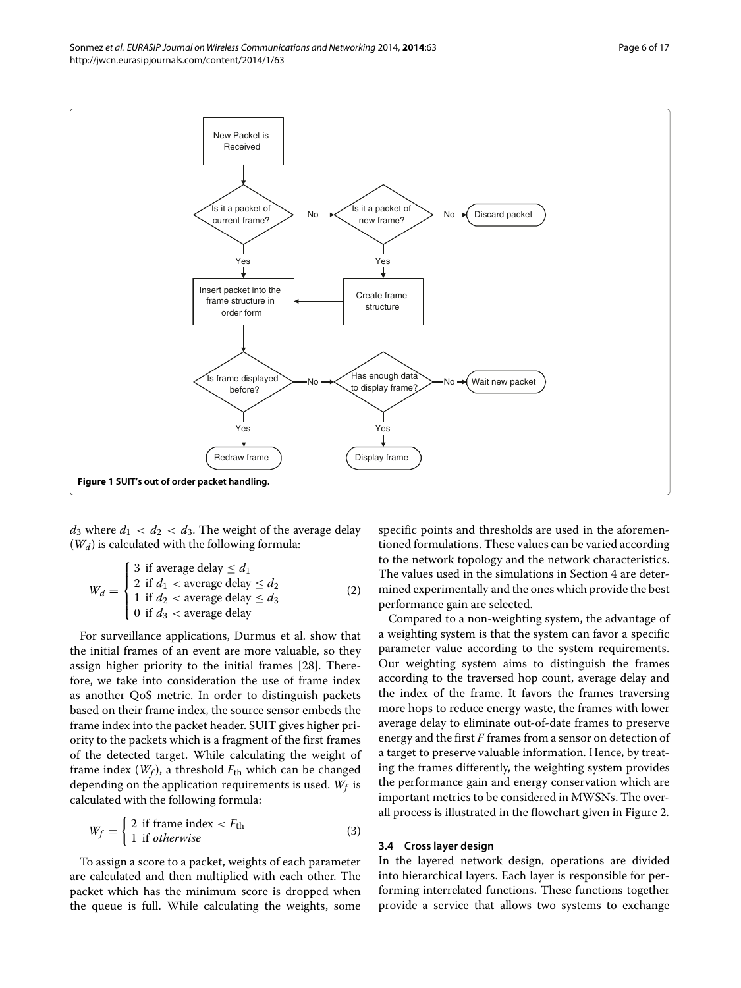

<span id="page-5-0"></span> $d_3$  where  $d_1 < d_2 < d_3$ . The weight of the average delay  $(W_d)$  is calculated with the following formula:

$$
W_d = \begin{cases} 3 \text{ if average delay} \le d_1 \\ 2 \text{ if } d_1 < \text{average delay} \le d_2 \\ 1 \text{ if } d_2 < \text{average delay} \le d_3 \\ 0 \text{ if } d_3 < \text{average delay} \end{cases} \tag{2}
$$

For surveillance applications, Durmus et al. show that the initial frames of an event are more valuable, so they assign higher priority to the initial frames [\[28\]](#page-16-6). Therefore, we take into consideration the use of frame index as another QoS metric. In order to distinguish packets based on their frame index, the source sensor embeds the frame index into the packet header. SUIT gives higher priority to the packets which is a fragment of the first frames of the detected target. While calculating the weight of frame index  $(W_f)$ , a threshold  $F_{th}$  which can be changed depending on the application requirements is used.  $W_f$  is calculated with the following formula:

$$
W_f = \begin{cases} 2 & \text{if frame index} < F_{\text{th}} \\ 1 & \text{if otherwise} \end{cases} \tag{3}
$$

To assign a score to a packet, weights of each parameter are calculated and then multiplied with each other. The packet which has the minimum score is dropped when the queue is full. While calculating the weights, some specific points and thresholds are used in the aforementioned formulations. These values can be varied according to the network topology and the network characteristics. The values used in the simulations in Section [4](#page-10-0) are determined experimentally and the ones which provide the best performance gain are selected.

Compared to a non-weighting system, the advantage of a weighting system is that the system can favor a specific parameter value according to the system requirements. Our weighting system aims to distinguish the frames according to the traversed hop count, average delay and the index of the frame. It favors the frames traversing more hops to reduce energy waste, the frames with lower average delay to eliminate out-of-date frames to preserve energy and the first *F* frames from a sensor on detection of a target to preserve valuable information. Hence, by treating the frames differently, the weighting system provides the performance gain and energy conservation which are important metrics to be considered in MWSNs. The overall process is illustrated in the flowchart given in Figure [2.](#page-6-0)

## **3.4 Cross layer design**

In the layered network design, operations are divided into hierarchical layers. Each layer is responsible for performing interrelated functions. These functions together provide a service that allows two systems to exchange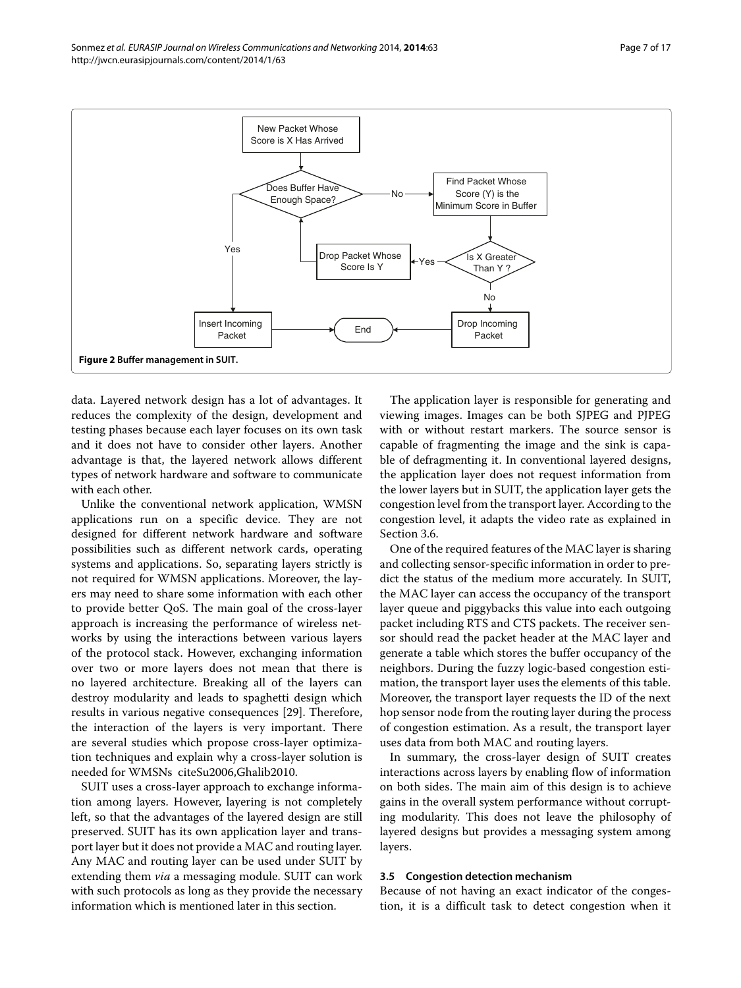

<span id="page-6-0"></span>data. Layered network design has a lot of advantages. It reduces the complexity of the design, development and testing phases because each layer focuses on its own task and it does not have to consider other layers. Another advantage is that, the layered network allows different types of network hardware and software to communicate with each other.

Unlike the conventional network application, WMSN applications run on a specific device. They are not designed for different network hardware and software possibilities such as different network cards, operating systems and applications. So, separating layers strictly is not required for WMSN applications. Moreover, the layers may need to share some information with each other to provide better QoS. The main goal of the cross-layer approach is increasing the performance of wireless networks by using the interactions between various layers of the protocol stack. However, exchanging information over two or more layers does not mean that there is no layered architecture. Breaking all of the layers can destroy modularity and leads to spaghetti design which results in various negative consequences [\[29\]](#page-16-7). Therefore, the interaction of the layers is very important. There are several studies which propose cross-layer optimization techniques and explain why a cross-layer solution is needed for WMSNs citeSu2006,Ghalib2010.

SUIT uses a cross-layer approach to exchange information among layers. However, layering is not completely left, so that the advantages of the layered design are still preserved. SUIT has its own application layer and transport layer but it does not provide a MAC and routing layer. Any MAC and routing layer can be used under SUIT by extending them *via* a messaging module. SUIT can work with such protocols as long as they provide the necessary information which is mentioned later in this section.

The application layer is responsible for generating and viewing images. Images can be both SJPEG and PJPEG with or without restart markers. The source sensor is capable of fragmenting the image and the sink is capable of defragmenting it. In conventional layered designs, the application layer does not request information from the lower layers but in SUIT, the application layer gets the congestion level from the transport layer. According to the congestion level, it adapts the video rate as explained in Section [3.6.](#page-9-0)

One of the required features of the MAC layer is sharing and collecting sensor-specific information in order to predict the status of the medium more accurately. In SUIT, the MAC layer can access the occupancy of the transport layer queue and piggybacks this value into each outgoing packet including RTS and CTS packets. The receiver sensor should read the packet header at the MAC layer and generate a table which stores the buffer occupancy of the neighbors. During the fuzzy logic-based congestion estimation, the transport layer uses the elements of this table. Moreover, the transport layer requests the ID of the next hop sensor node from the routing layer during the process of congestion estimation. As a result, the transport layer uses data from both MAC and routing layers.

In summary, the cross-layer design of SUIT creates interactions across layers by enabling flow of information on both sides. The main aim of this design is to achieve gains in the overall system performance without corrupting modularity. This does not leave the philosophy of layered designs but provides a messaging system among layers.

## **3.5 Congestion detection mechanism**

Because of not having an exact indicator of the congestion, it is a difficult task to detect congestion when it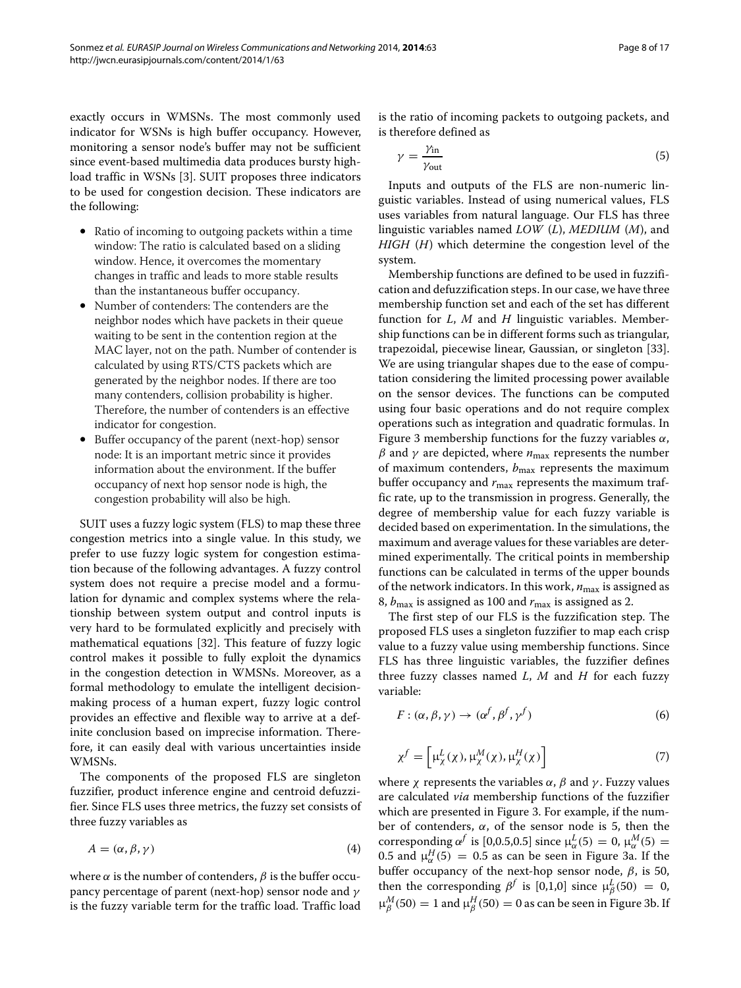exactly occurs in WMSNs. The most commonly used indicator for WSNs is high buffer occupancy. However, monitoring a sensor node's buffer may not be sufficient since event-based multimedia data produces bursty highload traffic in WSNs [\[3\]](#page-15-2). SUIT proposes three indicators to be used for congestion decision. These indicators are the following:

- Ratio of incoming to outgoing packets within a time window: The ratio is calculated based on a sliding window. Hence, it overcomes the momentary changes in traffic and leads to more stable results than the instantaneous buffer occupancy.
- Number of contenders: The contenders are the neighbor nodes which have packets in their queue waiting to be sent in the contention region at the MAC layer, not on the path. Number of contender is calculated by using RTS/CTS packets which are generated by the neighbor nodes. If there are too many contenders, collision probability is higher. Therefore, the number of contenders is an effective indicator for congestion.
- Buffer occupancy of the parent (next-hop) sensor node: It is an important metric since it provides information about the environment. If the buffer occupancy of next hop sensor node is high, the congestion probability will also be high.

SUIT uses a fuzzy logic system (FLS) to map these three congestion metrics into a single value. In this study, we prefer to use fuzzy logic system for congestion estimation because of the following advantages. A fuzzy control system does not require a precise model and a formulation for dynamic and complex systems where the relationship between system output and control inputs is very hard to be formulated explicitly and precisely with mathematical equations [\[32\]](#page-16-8). This feature of fuzzy logic control makes it possible to fully exploit the dynamics in the congestion detection in WMSNs. Moreover, as a formal methodology to emulate the intelligent decisionmaking process of a human expert, fuzzy logic control provides an effective and flexible way to arrive at a definite conclusion based on imprecise information. Therefore, it can easily deal with various uncertainties inside WMSNs.

The components of the proposed FLS are singleton fuzzifier, product inference engine and centroid defuzzifier. Since FLS uses three metrics, the fuzzy set consists of three fuzzy variables as

$$
A = (\alpha, \beta, \gamma) \tag{4}
$$

where  $\alpha$  is the number of contenders,  $\beta$  is the buffer occupancy percentage of parent (next-hop) sensor node and  $\gamma$ is the fuzzy variable term for the traffic load. Traffic load is the ratio of incoming packets to outgoing packets, and is therefore defined as

$$
\gamma = \frac{\gamma_{\rm in}}{\gamma_{\rm out}}\tag{5}
$$

Inputs and outputs of the FLS are non-numeric linguistic variables. Instead of using numerical values, FLS uses variables from natural language. Our FLS has three linguistic variables named *LOW* (*L*), *MEDIUM* (*M*), and *HIGH* (*H*) which determine the congestion level of the system.

Membership functions are defined to be used in fuzzification and defuzzification steps. In our case, we have three membership function set and each of the set has different function for *L*, *M* and *H* linguistic variables. Membership functions can be in different forms such as triangular, trapezoidal, piecewise linear, Gaussian, or singleton [\[33\]](#page-16-9). We are using triangular shapes due to the ease of computation considering the limited processing power available on the sensor devices. The functions can be computed using four basic operations and do not require complex operations such as integration and quadratic formulas. In Figure [3](#page-8-0) membership functions for the fuzzy variables  $\alpha$ ,  $β$  and  $γ$  are depicted, where  $n_{max}$  represents the number of maximum contenders,  $b_{\text{max}}$  represents the maximum buffer occupancy and *r*max represents the maximum traffic rate, up to the transmission in progress. Generally, the degree of membership value for each fuzzy variable is decided based on experimentation. In the simulations, the maximum and average values for these variables are determined experimentally. The critical points in membership functions can be calculated in terms of the upper bounds of the network indicators. In this work,  $n_{\text{max}}$  is assigned as 8, *b*max is assigned as 100 and *r*max is assigned as 2.

The first step of our FLS is the fuzzification step. The proposed FLS uses a singleton fuzzifier to map each crisp value to a fuzzy value using membership functions. Since FLS has three linguistic variables, the fuzzifier defines three fuzzy classes named *L*, *M* and *H* for each fuzzy variable:

$$
F: (\alpha, \beta, \gamma) \to (\alpha^f, \beta^f, \gamma^f)
$$
 (6)

$$
\chi^{f} = \left[\mu_{\chi}^{L}(\chi), \mu_{\chi}^{M}(\chi), \mu_{\chi}^{H}(\chi)\right]
$$
\n(7)

where  $\chi$  represents the variables  $\alpha$ ,  $\beta$  and  $\gamma$ . Fuzzy values are calculated *via* membership functions of the fuzzifier which are presented in Figure [3.](#page-8-0) For example, if the number of contenders,  $\alpha$ , of the sensor node is 5, then the corresponding  $\alpha^f$  is [0,0.5,0.5] since  $\mu^L_{\alpha}(5) = 0$ ,  $\mu^M_{\alpha}(5) =$ 0.5 and  $\mu_{\alpha}^{H}(5) = 0.5$  as can be seen in Figure [3a](#page-8-0). If the buffer occupancy of the next-hop sensor node,  $\beta$ , is 50, then the corresponding  $\beta^f$  is [0,1,0] since  $\mu^L_\beta(50) = 0$ ,  $\mu_\beta^M(50)=1$  and  $\mu_\beta^H(50)=0$  as can be seen in Figure [3b](#page-8-0). If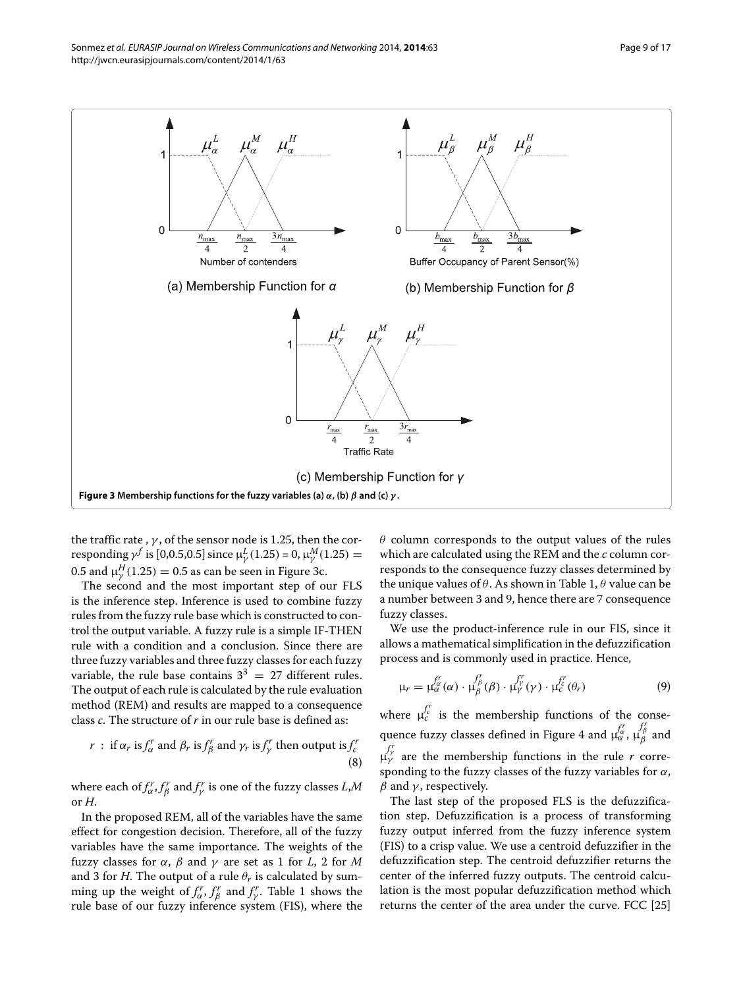

<span id="page-8-0"></span>the traffic rate,  $\gamma$ , of the sensor node is 1.25, then the corresponding  $\gamma^f$  is [0,0.5,0.5] since  $\mu_\gamma^L(1.25) = 0$ ,  $\mu_\gamma^M(1.25) =$ 0.5 and  $\mu_{\gamma}^{H}(1.25) = 0.5$  as can be seen in Figure [3c](#page-8-0).

The second and the most important step of our FLS is the inference step. Inference is used to combine fuzzy rules from the fuzzy rule base which is constructed to control the output variable. A fuzzy rule is a simple IF-THEN rule with a condition and a conclusion. Since there are three fuzzy variables and three fuzzy classes for each fuzzy variable, the rule base contains  $3^3 = 27$  different rules. The output of each rule is calculated by the rule evaluation method (REM) and results are mapped to a consequence class *c*. The structure of *r* in our rule base is defined as:

$$
r
$$
: if  $\alpha_r$  is  $f''_{\alpha}$  and  $\beta_r$  is  $f''_{\beta}$  and  $\gamma_r$  is  $f''_{\gamma}$  then output is  $f''_{c}$  (8)

where each of  $f^r_\alpha, f^r_\beta$  and  $f^r_\gamma$  is one of the fuzzy classes  $L$ , $M$ or *H*.

In the proposed REM, all of the variables have the same effect for congestion decision. Therefore, all of the fuzzy variables have the same importance. The weights of the fuzzy classes for  $\alpha$ ,  $\beta$  and  $\gamma$  are set as 1 for *L*, 2 for *M* and 3 for *H*. The output of a rule  $\theta_r$  is calculated by summing up the weight of  $f''_{\alpha}$ ,  $f''_{\beta}$  and  $f''_{\gamma}$ . Table [1](#page-9-1) shows the rule base of our fuzzy inference system (FIS), where the  $\theta$  column corresponds to the output values of the rules which are calculated using the REM and the *c* column corresponds to the consequence fuzzy classes determined by the unique values of  $\theta$ . As shown in Table [1,](#page-9-1)  $\theta$  value can be a number between 3 and 9, hence there are 7 consequence fuzzy classes.

We use the product-inference rule in our FIS, since it allows a mathematical simplification in the defuzzification process and is commonly used in practice. Hence,

$$
\mu_r = \mu_\alpha^{f_\alpha^r}(\alpha) \cdot \mu_\beta^{f_\beta^r}(\beta) \cdot \mu_\gamma^{f_\gamma^r}(\gamma) \cdot \mu_c^{f_c^r}(\theta_r)
$$
\n(9)

where  $\mu_c^{f^r_c}$  is the membership functions of the conse-quence fuzzy classes defined in Figure [4](#page-9-2) and  $\mu_{\alpha}^{f_{\alpha}^{r}}$ ,  $\mu_{\beta}^{f_{\beta}^{r}}$  and *f<sub>γ</sub><sup>r</sup>*</sup> are the membership functions in the rule *r* corresponding to the fuzzy classes of the fuzzy variables for  $\alpha$ ,  $\beta$  and  $\gamma$ , respectively.

The last step of the proposed FLS is the defuzzification step. Defuzzification is a process of transforming fuzzy output inferred from the fuzzy inference system (FIS) to a crisp value. We use a centroid defuzzifier in the defuzzification step. The centroid defuzzifier returns the center of the inferred fuzzy outputs. The centroid calculation is the most popular defuzzification method which returns the center of the area under the curve. FCC [\[25\]](#page-16-3)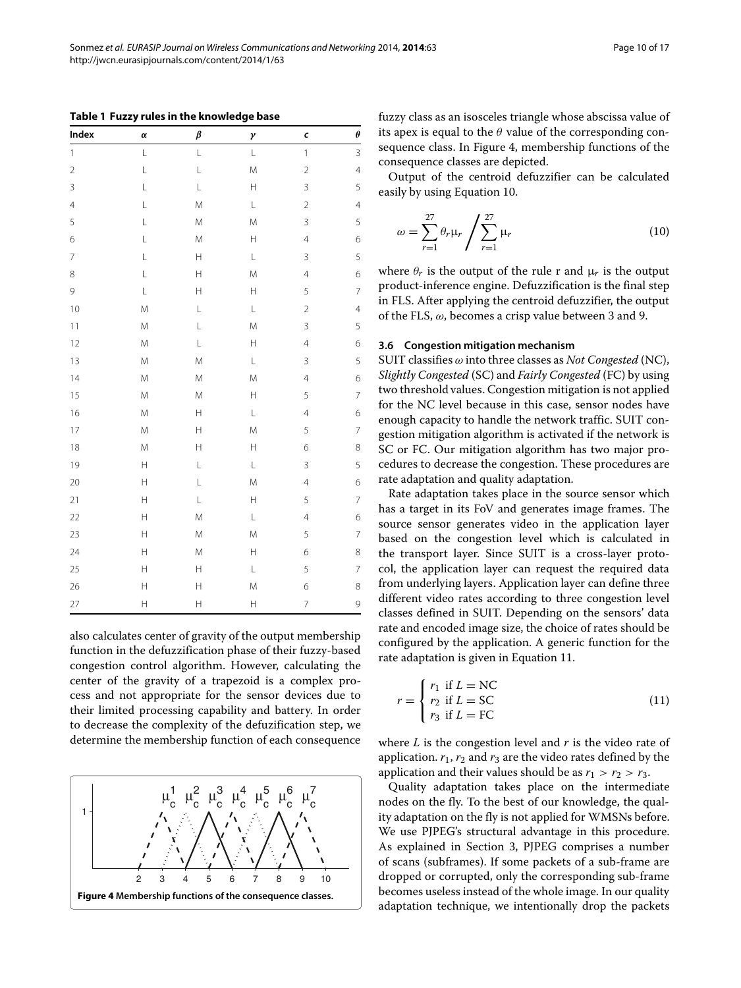| Index          | $\pmb{\alpha}$                                                                                             | $\pmb{\beta}$                                                                                              | γ                                                                                  | C                        | $\pmb{\theta}$           |
|----------------|------------------------------------------------------------------------------------------------------------|------------------------------------------------------------------------------------------------------------|------------------------------------------------------------------------------------|--------------------------|--------------------------|
| $\mathbb{1}$   | $\overline{L}$                                                                                             | $\overline{\mathsf{L}}$                                                                                    | $\overline{L}$                                                                     | $\mathbb{I}$             | $\overline{3}$           |
| $\overline{c}$ | L                                                                                                          | L                                                                                                          | M                                                                                  | $\overline{c}$           | $\overline{4}$           |
| $\overline{3}$ | L                                                                                                          | L                                                                                                          | $\boldsymbol{\mathsf{H}}$                                                          | 3                        | 5                        |
| $\overline{4}$ | L                                                                                                          | M                                                                                                          | L                                                                                  | $\overline{c}$           | $\overline{4}$           |
| 5              | L                                                                                                          | M                                                                                                          | M                                                                                  | 3                        | 5                        |
| 6              | $\mathsf L$                                                                                                | $\mathsf{M}% _{T}=\mathsf{M}_{T}\!\left( a,b\right) ,\ \mathsf{M}_{T}=\mathsf{M}_{T}\!\left( a,b\right) ,$ | $\boldsymbol{\mathsf{H}}$                                                          | $\overline{a}$           | 6                        |
| $\overline{7}$ | L                                                                                                          | $\mathsf{H}$                                                                                               | L                                                                                  | 3                        | 5                        |
| 8              | L                                                                                                          | $\overline{H}$                                                                                             | M                                                                                  | $\overline{a}$           | 6                        |
| 9              | $\overline{L}$                                                                                             | $\overline{H}$                                                                                             | $\mathsf{H}% _{0}\left( \mathcal{M}_{0}\right) ^{T\left( \mathcal{M}_{0}\right) }$ | 5                        | $\overline{7}$           |
| 10             | $\overline{M}$                                                                                             | L                                                                                                          | L                                                                                  | $\overline{c}$           | $\overline{4}$           |
| 11             | $\mathsf{M}% _{T}=\mathsf{M}_{T}\!\left( a,b\right) ,\ \mathsf{M}_{T}=\mathsf{M}_{T}\!\left( a,b\right) ,$ | L                                                                                                          | M                                                                                  | 3                        | 5                        |
| 12             | $\mathsf{M}% _{T}=\mathsf{M}_{T}\!\left( a,b\right) ,\ \mathsf{M}_{T}=\mathsf{M}_{T}\!\left( a,b\right) ,$ | L                                                                                                          | $\mathsf{H}% _{0}\left( \mathcal{M}_{0}\right) ^{T\left( \mathcal{M}_{0}\right) }$ | $\overline{4}$           | 6                        |
| 13             | $\mathsf{M}% _{T}=\mathsf{M}_{T}\!\left( a,b\right) ,\ \mathsf{M}_{T}=\mathsf{M}_{T}\!\left( a,b\right) ,$ | M                                                                                                          | L                                                                                  | 3                        | 5                        |
| 14             | $\mathsf{M}% _{T}=\mathsf{M}_{T}\!\left( a,b\right) ,\ \mathsf{M}_{T}=\mathsf{M}_{T}\!\left( a,b\right) ,$ | ${\sf M}$                                                                                                  | M                                                                                  | $\overline{4}$           | 6                        |
| 15             | $\mathsf{M}% _{T}=\mathsf{M}_{T}\!\left( a,b\right) ,\ \mathsf{M}_{T}=\mathsf{M}_{T}\!\left( a,b\right) ,$ | $\mathsf{M}% _{T}=\mathsf{M}_{T}\!\left( a,b\right) ,\ \mathsf{M}_{T}=\mathsf{M}_{T}\!\left( a,b\right) ,$ | $\boldsymbol{\mathsf{H}}$                                                          | 5                        | 7                        |
| 16             | $\mathsf{M}% _{T}=\mathsf{M}_{T}\!\left( a,b\right) ,\ \mathsf{M}_{T}=\mathsf{M}_{T}\!\left( a,b\right) ,$ | $\overline{H}$                                                                                             | L                                                                                  | $\overline{a}$           | 6                        |
| 17             | $\mathsf{M}% _{T}=\mathsf{M}_{T}\!\left( a,b\right) ,\ \mathsf{M}_{T}=\mathsf{M}_{T}\!\left( a,b\right) ,$ | $\overline{H}$                                                                                             | M                                                                                  | 5                        | $\overline{\phantom{a}}$ |
| 18             | $\mathsf{M}$                                                                                               | $\boldsymbol{\mathsf{H}}$                                                                                  | $\boldsymbol{\mathsf{H}}$                                                          | 6                        | 8                        |
| 19             | $\overline{H}$                                                                                             | L                                                                                                          | L                                                                                  | $\overline{3}$           | 5                        |
| 20             | $\mathsf{H}%$                                                                                              | L                                                                                                          | M                                                                                  | $\overline{a}$           | 6                        |
| 21             | $\overline{H}$                                                                                             | L                                                                                                          | $\boldsymbol{\mathsf{H}}$                                                          | 5                        | 7                        |
| 22             | $\overline{H}$                                                                                             | M                                                                                                          | L                                                                                  | $\overline{4}$           | 6                        |
| 23             | $\mathsf{H}%$                                                                                              | ${\sf M}$                                                                                                  | M                                                                                  | 5                        | 7                        |
| 24             | $\overline{H}$                                                                                             | $\mathsf{M}% _{T}=\mathsf{M}_{T}\!\left( a,b\right) ,\ \mathsf{M}_{T}=\mathsf{M}_{T}\!\left( a,b\right) ,$ | $\mathsf{H}% _{0}\left( \mathcal{M}_{0}\right) ^{T\left( \mathcal{M}_{0}\right) }$ | 6                        | 8                        |
| 25             | $\overline{H}$                                                                                             | $\mathsf{H}$                                                                                               | L                                                                                  | 5                        | $\overline{7}$           |
| 26             | $\mathsf{H}%$                                                                                              | $\overline{H}$                                                                                             | M                                                                                  | 6                        | 8                        |
| 27             | $\overline{H}$                                                                                             | $\mathsf{H}$                                                                                               | Н                                                                                  | $\overline{\mathcal{I}}$ | 9                        |

<span id="page-9-1"></span>**Table 1 Fuzzy rules in the knowledge base**

also calculates center of gravity of the output membership function in the defuzzification phase of their fuzzy-based congestion control algorithm. However, calculating the center of the gravity of a trapezoid is a complex process and not appropriate for the sensor devices due to their limited processing capability and battery. In order to decrease the complexity of the defuzification step, we determine the membership function of each consequence

<span id="page-9-2"></span>

fuzzy class as an isosceles triangle whose abscissa value of its apex is equal to the  $\theta$  value of the corresponding consequence class. In Figure [4,](#page-9-2) membership functions of the consequence classes are depicted.

Output of the centroid defuzzifier can be calculated easily by using Equation [10.](#page-9-3)

<span id="page-9-3"></span>
$$
\omega = \sum_{r=1}^{27} \theta_r \mu_r \left/ \sum_{r=1}^{27} \mu_r \right. \tag{10}
$$

where  $\theta_r$  is the output of the rule r and  $\mu_r$  is the output product-inference engine. Defuzzification is the final step in FLS. After applying the centroid defuzzifier, the output of the FLS,  $\omega$ , becomes a crisp value between 3 and 9.

#### <span id="page-9-0"></span>**3.6 Congestion mitigation mechanism**

SUIT classifies ω into three classes as *Not Congested* (NC), *Slightly Congested* (SC) and *Fairly Congested* (FC) by using two threshold values. Congestion mitigation is not applied for the NC level because in this case, sensor nodes have enough capacity to handle the network traffic. SUIT congestion mitigation algorithm is activated if the network is SC or FC. Our mitigation algorithm has two major procedures to decrease the congestion. These procedures are rate adaptation and quality adaptation.

Rate adaptation takes place in the source sensor which has a target in its FoV and generates image frames. The source sensor generates video in the application layer based on the congestion level which is calculated in the transport layer. Since SUIT is a cross-layer protocol, the application layer can request the required data from underlying layers. Application layer can define three different video rates according to three congestion level classes defined in SUIT. Depending on the sensors' data rate and encoded image size, the choice of rates should be configured by the application. A generic function for the rate adaptation is given in Equation [11.](#page-9-4)

<span id="page-9-4"></span>
$$
r = \begin{cases} r_1 \text{ if } L = \text{NC} \\ r_2 \text{ if } L = \text{SC} \\ r_3 \text{ if } L = \text{FC} \end{cases}
$$
 (11)

where *L* is the congestion level and *r* is the video rate of application.  $r_1$ ,  $r_2$  and  $r_3$  are the video rates defined by the application and their values should be as  $r_1 > r_2 > r_3$ .

Quality adaptation takes place on the intermediate nodes on the fly. To the best of our knowledge, the quality adaptation on the fly is not applied for WMSNs before. We use PJPEG's structural advantage in this procedure. As explained in Section [3,](#page-3-0) PJPEG comprises a number of scans (subframes). If some packets of a sub-frame are dropped or corrupted, only the corresponding sub-frame becomes useless instead of the whole image. In our quality adaptation technique, we intentionally drop the packets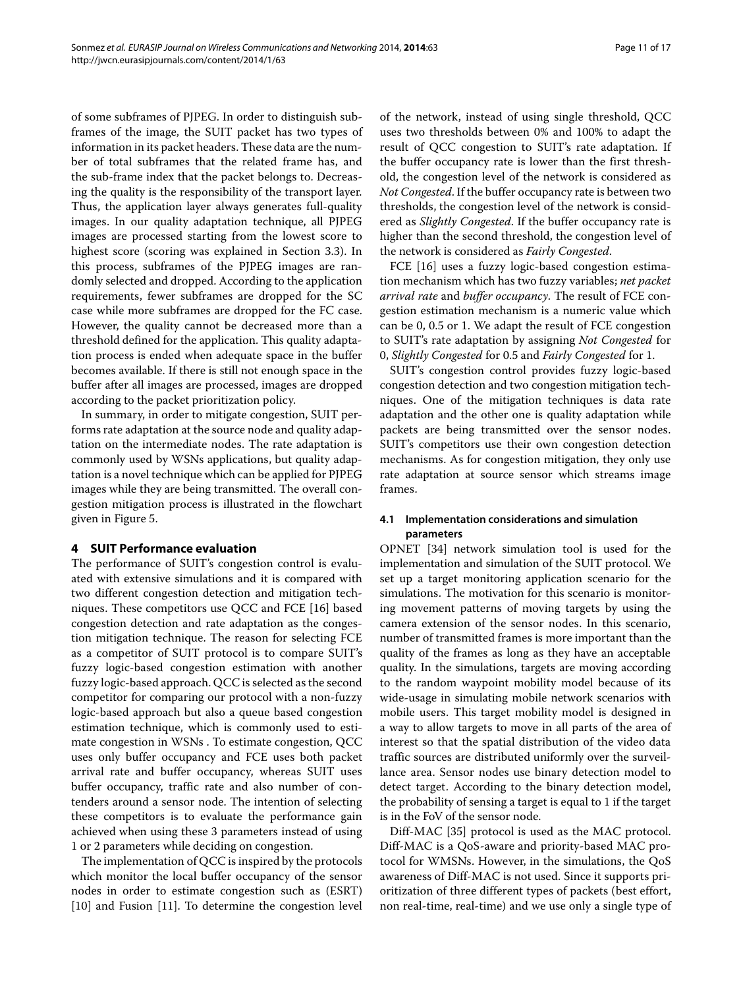of some subframes of PJPEG. In order to distinguish subframes of the image, the SUIT packet has two types of information in its packet headers. These data are the number of total subframes that the related frame has, and the sub-frame index that the packet belongs to. Decreasing the quality is the responsibility of the transport layer. Thus, the application layer always generates full-quality images. In our quality adaptation technique, all PJPEG images are processed starting from the lowest score to highest score (scoring was explained in Section [3.3\)](#page-4-0). In this process, subframes of the PJPEG images are randomly selected and dropped. According to the application requirements, fewer subframes are dropped for the SC case while more subframes are dropped for the FC case. However, the quality cannot be decreased more than a threshold defined for the application. This quality adaptation process is ended when adequate space in the buffer becomes available. If there is still not enough space in the buffer after all images are processed, images are dropped according to the packet prioritization policy.

In summary, in order to mitigate congestion, SUIT performs rate adaptation at the source node and quality adaptation on the intermediate nodes. The rate adaptation is commonly used by WSNs applications, but quality adaptation is a novel technique which can be applied for PJPEG images while they are being transmitted. The overall congestion mitigation process is illustrated in the flowchart given in Figure [5.](#page-11-0)

## <span id="page-10-0"></span>**4 SUIT Performance evaluation**

The performance of SUIT's congestion control is evaluated with extensive simulations and it is compared with two different congestion detection and mitigation techniques. These competitors use QCC and FCE [\[16\]](#page-15-14) based congestion detection and rate adaptation as the congestion mitigation technique. The reason for selecting FCE as a competitor of SUIT protocol is to compare SUIT's fuzzy logic-based congestion estimation with another fuzzy logic-based approach. QCC is selected as the second competitor for comparing our protocol with a non-fuzzy logic-based approach but also a queue based congestion estimation technique, which is commonly used to estimate congestion in WSNs . To estimate congestion, QCC uses only buffer occupancy and FCE uses both packet arrival rate and buffer occupancy, whereas SUIT uses buffer occupancy, traffic rate and also number of contenders around a sensor node. The intention of selecting these competitors is to evaluate the performance gain achieved when using these 3 parameters instead of using 1 or 2 parameters while deciding on congestion.

The implementation of QCC is inspired by the protocols which monitor the local buffer occupancy of the sensor nodes in order to estimate congestion such as (ESRT) [\[10\]](#page-15-8) and Fusion [\[11\]](#page-15-9). To determine the congestion level of the network, instead of using single threshold, QCC uses two thresholds between 0% and 100% to adapt the result of QCC congestion to SUIT's rate adaptation. If the buffer occupancy rate is lower than the first threshold, the congestion level of the network is considered as *Not Congested*. If the buffer occupancy rate is between two thresholds, the congestion level of the network is considered as *Slightly Congested*. If the buffer occupancy rate is higher than the second threshold, the congestion level of the network is considered as *Fairly Congested*.

FCE [\[16\]](#page-15-14) uses a fuzzy logic-based congestion estimation mechanism which has two fuzzy variables; *net packet arrival rate* and *buffer occupancy*. The result of FCE congestion estimation mechanism is a numeric value which can be 0, 0.5 or 1. We adapt the result of FCE congestion to SUIT's rate adaptation by assigning *Not Congested* for 0, *Slightly Congested* for 0.5 and *Fairly Congested* for 1.

SUIT's congestion control provides fuzzy logic-based congestion detection and two congestion mitigation techniques. One of the mitigation techniques is data rate adaptation and the other one is quality adaptation while packets are being transmitted over the sensor nodes. SUIT's competitors use their own congestion detection mechanisms. As for congestion mitigation, they only use rate adaptation at source sensor which streams image frames.

## **4.1 Implementation considerations and simulation parameters**

OPNET [\[34\]](#page-16-10) network simulation tool is used for the implementation and simulation of the SUIT protocol. We set up a target monitoring application scenario for the simulations. The motivation for this scenario is monitoring movement patterns of moving targets by using the camera extension of the sensor nodes. In this scenario, number of transmitted frames is more important than the quality of the frames as long as they have an acceptable quality. In the simulations, targets are moving according to the random waypoint mobility model because of its wide-usage in simulating mobile network scenarios with mobile users. This target mobility model is designed in a way to allow targets to move in all parts of the area of interest so that the spatial distribution of the video data traffic sources are distributed uniformly over the surveillance area. Sensor nodes use binary detection model to detect target. According to the binary detection model, the probability of sensing a target is equal to 1 if the target is in the FoV of the sensor node.

Diff-MAC [\[35\]](#page-16-11) protocol is used as the MAC protocol. Diff-MAC is a QoS-aware and priority-based MAC protocol for WMSNs. However, in the simulations, the QoS awareness of Diff-MAC is not used. Since it supports prioritization of three different types of packets (best effort, non real-time, real-time) and we use only a single type of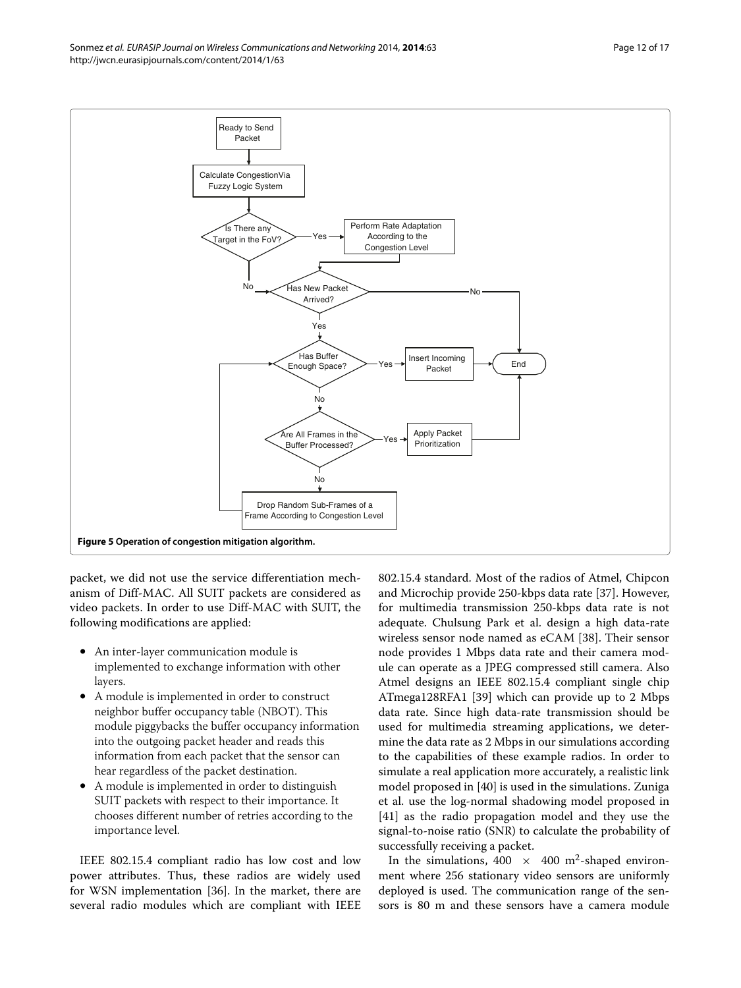

<span id="page-11-0"></span>packet, we did not use the service differentiation mechanism of Diff-MAC. All SUIT packets are considered as video packets. In order to use Diff-MAC with SUIT, the following modifications are applied:

- An inter-layer communication module is implemented to exchange information with other layers.
- A module is implemented in order to construct neighbor buffer occupancy table (NBOT). This module piggybacks the buffer occupancy information into the outgoing packet header and reads this information from each packet that the sensor can hear regardless of the packet destination.
- A module is implemented in order to distinguish SUIT packets with respect to their importance. It chooses different number of retries according to the importance level.

IEEE 802.15.4 compliant radio has low cost and low power attributes. Thus, these radios are widely used for WSN implementation [\[36\]](#page-16-12). In the market, there are several radio modules which are compliant with IEEE 802.15.4 standard. Most of the radios of Atmel, Chipcon and Microchip provide 250-kbps data rate [\[37\]](#page-16-13). However, for multimedia transmission 250-kbps data rate is not adequate. Chulsung Park et al. design a high data-rate wireless sensor node named as eCAM [\[38\]](#page-16-14). Their sensor node provides 1 Mbps data rate and their camera module can operate as a JPEG compressed still camera. Also Atmel designs an IEEE 802.15.4 compliant single chip ATmega128RFA1 [\[39\]](#page-16-15) which can provide up to 2 Mbps data rate. Since high data-rate transmission should be used for multimedia streaming applications, we determine the data rate as 2 Mbps in our simulations according to the capabilities of these example radios. In order to simulate a real application more accurately, a realistic link model proposed in [\[40\]](#page-16-16) is used in the simulations. Zuniga et al. use the log-normal shadowing model proposed in [\[41\]](#page-16-17) as the radio propagation model and they use the signal-to-noise ratio (SNR) to calculate the probability of successfully receiving a packet.

In the simulations,  $400 \times 400 \text{ m}^2$ -shaped environment where 256 stationary video sensors are uniformly deployed is used. The communication range of the sensors is 80 m and these sensors have a camera module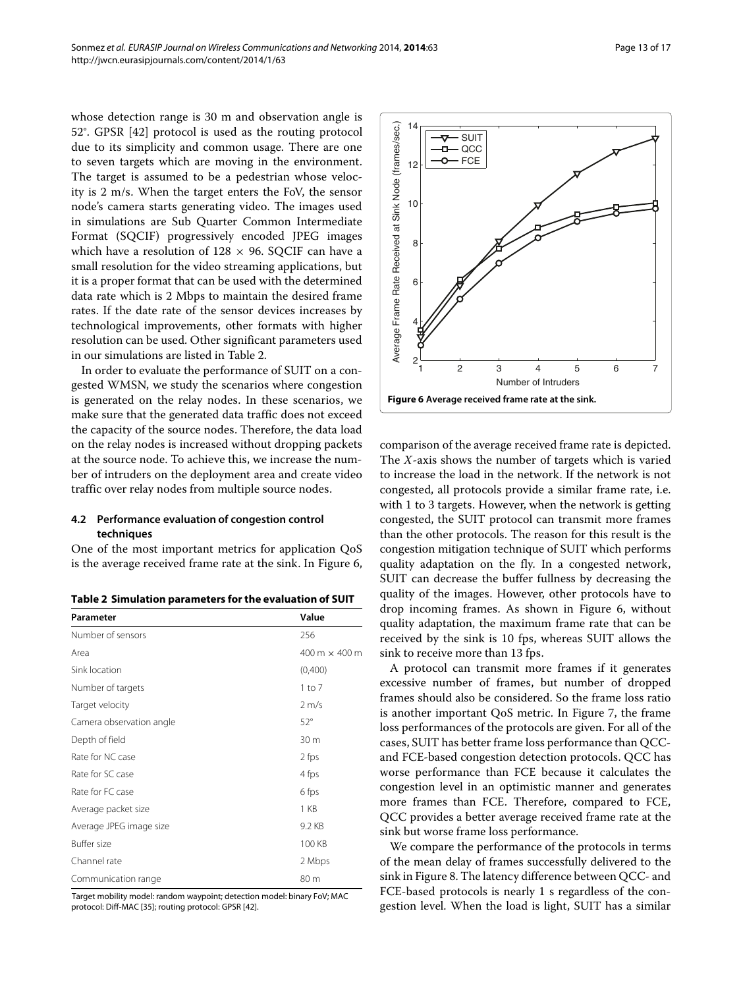whose detection range is 30 m and observation angle is 52°. GPSR [\[42\]](#page-16-18) protocol is used as the routing protocol due to its simplicity and common usage. There are one to seven targets which are moving in the environment. The target is assumed to be a pedestrian whose velocity is 2 m/s. When the target enters the FoV, the sensor node's camera starts generating video. The images used in simulations are Sub Quarter Common Intermediate Format (SQCIF) progressively encoded JPEG images which have a resolution of 128  $\times$  96. SQCIF can have a small resolution for the video streaming applications, but it is a proper format that can be used with the determined data rate which is 2 Mbps to maintain the desired frame rates. If the date rate of the sensor devices increases by technological improvements, other formats with higher resolution can be used. Other significant parameters used in our simulations are listed in Table [2.](#page-12-0)

In order to evaluate the performance of SUIT on a congested WMSN, we study the scenarios where congestion is generated on the relay nodes. In these scenarios, we make sure that the generated data traffic does not exceed the capacity of the source nodes. Therefore, the data load on the relay nodes is increased without dropping packets at the source node. To achieve this, we increase the number of intruders on the deployment area and create video traffic over relay nodes from multiple source nodes.

## **4.2 Performance evaluation of congestion control techniques**

One of the most important metrics for application QoS is the average received frame rate at the sink. In Figure [6,](#page-12-1)

<span id="page-12-0"></span>**Table 2 Simulation parameters for the evaluation of SUIT**

| Parameter                | Value                                |
|--------------------------|--------------------------------------|
| Number of sensors        | 256                                  |
| Area                     | $400 \text{ m} \times 400 \text{ m}$ |
| Sink location            | (0,400)                              |
| Number of targets        | $1$ to $7$                           |
| Target velocity          | $2 \text{ m/s}$                      |
| Camera observation angle | $52^\circ$                           |
| Depth of field           | 30 m                                 |
| Rate for NC case         | 2 fps                                |
| Rate for SC case         | 4 fps                                |
| Rate for FC case         | 6 fps                                |
| Average packet size      | 1 KB                                 |
| Average JPEG image size  | 9.2 KB                               |
| <b>Buffer size</b>       | 100 KB                               |
| Channel rate             | 2 Mbps                               |
| Communication range      | 80 m                                 |

Target mobility model: random waypoint; detection model: binary FoV; MAC protocol: Diff-MAC [\[35\]](#page-16-11); routing protocol: GPSR [\[42\]](#page-16-18).



<span id="page-12-1"></span>comparison of the average received frame rate is depicted. The *X*-axis shows the number of targets which is varied to increase the load in the network. If the network is not congested, all protocols provide a similar frame rate, i.e. with 1 to 3 targets. However, when the network is getting congested, the SUIT protocol can transmit more frames than the other protocols. The reason for this result is the congestion mitigation technique of SUIT which performs quality adaptation on the fly. In a congested network, SUIT can decrease the buffer fullness by decreasing the quality of the images. However, other protocols have to drop incoming frames. As shown in Figure [6,](#page-12-1) without quality adaptation, the maximum frame rate that can be received by the sink is 10 fps, whereas SUIT allows the sink to receive more than 13 fps.

A protocol can transmit more frames if it generates excessive number of frames, but number of dropped frames should also be considered. So the frame loss ratio is another important QoS metric. In Figure [7,](#page-13-0) the frame loss performances of the protocols are given. For all of the cases, SUIT has better frame loss performance than QCCand FCE-based congestion detection protocols. QCC has worse performance than FCE because it calculates the congestion level in an optimistic manner and generates more frames than FCE. Therefore, compared to FCE, QCC provides a better average received frame rate at the sink but worse frame loss performance.

We compare the performance of the protocols in terms of the mean delay of frames successfully delivered to the sink in Figure [8.](#page-13-1) The latency difference between QCC- and FCE-based protocols is nearly 1 s regardless of the congestion level. When the load is light, SUIT has a similar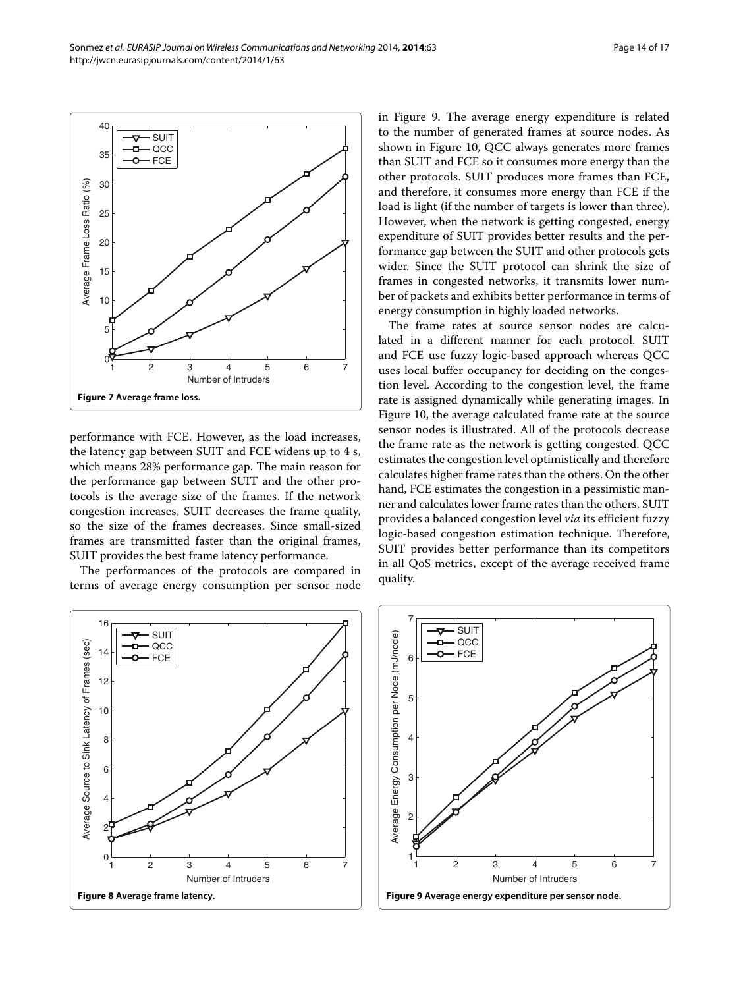Sonmez *et al. EURASIP Journal on Wireless Communications and Networking* 2014, **2014**:63 Page 14 of 17 http://jwcn.eurasipjournals.com/content/2014/1/63



<span id="page-13-0"></span>performance with FCE. However, as the load increases, the latency gap between SUIT and FCE widens up to 4 s, which means 28% performance gap. The main reason for the performance gap between SUIT and the other protocols is the average size of the frames. If the network congestion increases, SUIT decreases the frame quality, so the size of the frames decreases. Since small-sized frames are transmitted faster than the original frames, SUIT provides the best frame latency performance.

The performances of the protocols are compared in terms of average energy consumption per sensor node

<span id="page-13-1"></span>16 SUIT Average Source to Sink Latency of Frames (sec) Average Source to Sink Latency of Frames (sec) QCC  $14$ FCE 12 10 8 6 4 2  $\Omega$ 1 2 3 4 5 6 7 Number of Intruders **Figure 8 Average frame latency.**

in Figure [9.](#page-13-2) The average energy expenditure is related to the number of generated frames at source nodes. As shown in Figure [10,](#page-14-1) QCC always generates more frames than SUIT and FCE so it consumes more energy than the other protocols. SUIT produces more frames than FCE, and therefore, it consumes more energy than FCE if the load is light (if the number of targets is lower than three). However, when the network is getting congested, energy expenditure of SUIT provides better results and the performance gap between the SUIT and other protocols gets wider. Since the SUIT protocol can shrink the size of frames in congested networks, it transmits lower number of packets and exhibits better performance in terms of energy consumption in highly loaded networks.

The frame rates at source sensor nodes are calculated in a different manner for each protocol. SUIT and FCE use fuzzy logic-based approach whereas QCC uses local buffer occupancy for deciding on the congestion level. According to the congestion level, the frame rate is assigned dynamically while generating images. In Figure [10,](#page-14-1) the average calculated frame rate at the source sensor nodes is illustrated. All of the protocols decrease the frame rate as the network is getting congested. QCC estimates the congestion level optimistically and therefore calculates higher frame rates than the others. On the other hand, FCE estimates the congestion in a pessimistic manner and calculates lower frame rates than the others. SUIT provides a balanced congestion level *via* its efficient fuzzy logic-based congestion estimation technique. Therefore, SUIT provides better performance than its competitors in all QoS metrics, except of the average received frame quality.

<span id="page-13-2"></span>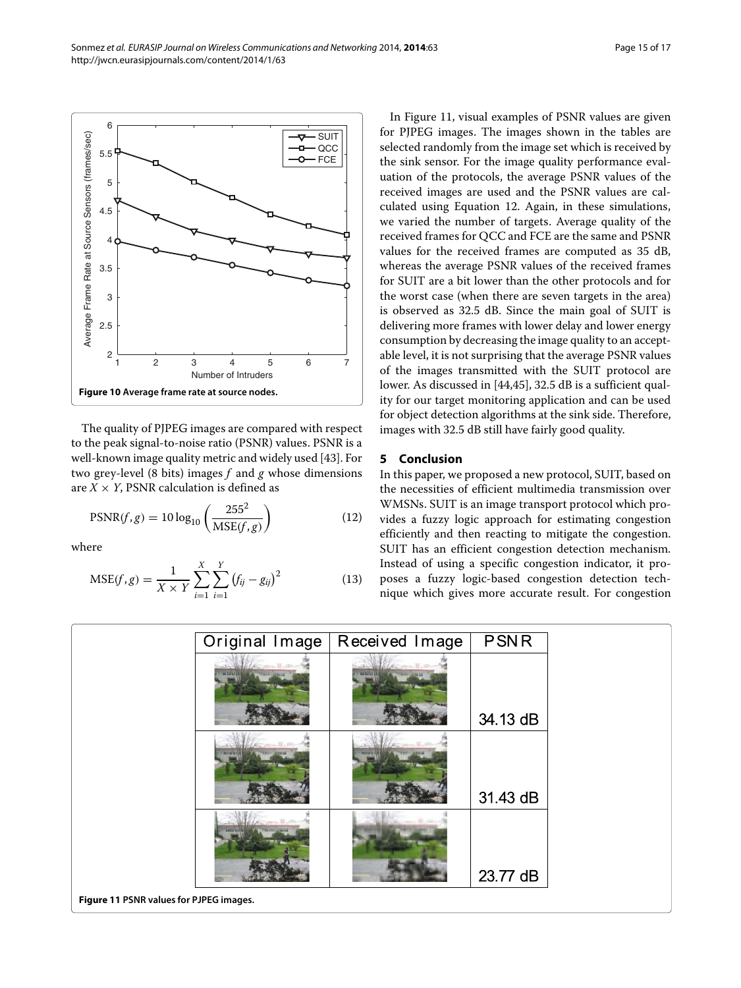

<span id="page-14-1"></span>The quality of PJPEG images are compared with respect to the peak signal-to-noise ratio (PSNR) values. PSNR is a well-known image quality metric and widely used [\[43\]](#page-16-19). For two grey-level (8 bits) images *f* and *g* whose dimensions are  $X \times Y$ , PSNR calculation is defined as

$$
PSNR(f, g) = 10 \log_{10} \left( \frac{255^2}{MSE(f, g)} \right)
$$
 (12)

where

$$
MSE(f, g) = \frac{1}{X \times Y} \sum_{i=1}^{X} \sum_{i=1}^{Y} (f_{ij} - g_{ij})^{2}
$$
 (13)

In Figure [11,](#page-14-2) visual examples of PSNR values are given for PJPEG images. The images shown in the tables are selected randomly from the image set which is received by the sink sensor. For the image quality performance evaluation of the protocols, the average PSNR values of the received images are used and the PSNR values are calculated using Equation [12.](#page-14-3) Again, in these simulations, we varied the number of targets. Average quality of the received frames for QCC and FCE are the same and PSNR values for the received frames are computed as 35 dB, whereas the average PSNR values of the received frames for SUIT are a bit lower than the other protocols and for the worst case (when there are seven targets in the area) is observed as 32.5 dB. Since the main goal of SUIT is delivering more frames with lower delay and lower energy consumption by decreasing the image quality to an acceptable level, it is not surprising that the average PSNR values of the images transmitted with the SUIT protocol are lower. As discussed in [\[44,](#page-16-20)[45\]](#page-16-21), 32.5 dB is a sufficient quality for our target monitoring application and can be used for object detection algorithms at the sink side. Therefore, images with 32.5 dB still have fairly good quality.

# <span id="page-14-0"></span>**5 Conclusion**

<span id="page-14-3"></span>In this paper, we proposed a new protocol, SUIT, based on the necessities of efficient multimedia transmission over WMSNs. SUIT is an image transport protocol which provides a fuzzy logic approach for estimating congestion efficiently and then reacting to mitigate the congestion. SUIT has an efficient congestion detection mechanism. Instead of using a specific congestion indicator, it proposes a fuzzy logic-based congestion detection technique which gives more accurate result. For congestion

<span id="page-14-2"></span>

|                                         | Original Image      | Received Image        | <b>PSNR</b> |  |  |  |  |  |
|-----------------------------------------|---------------------|-----------------------|-------------|--|--|--|--|--|
|                                         | <b>Stemphone</b>    | <b>CALIFORNIA AND</b> | 34.13 dB    |  |  |  |  |  |
|                                         | <b>STRIBULISHER</b> | <b>THEFFICIALS</b>    | 31.43 dB    |  |  |  |  |  |
|                                         | <b>THEIR ANN</b>    |                       | 23.77 dB    |  |  |  |  |  |
| Figure 11 PSNR values for PJPEG images. |                     |                       |             |  |  |  |  |  |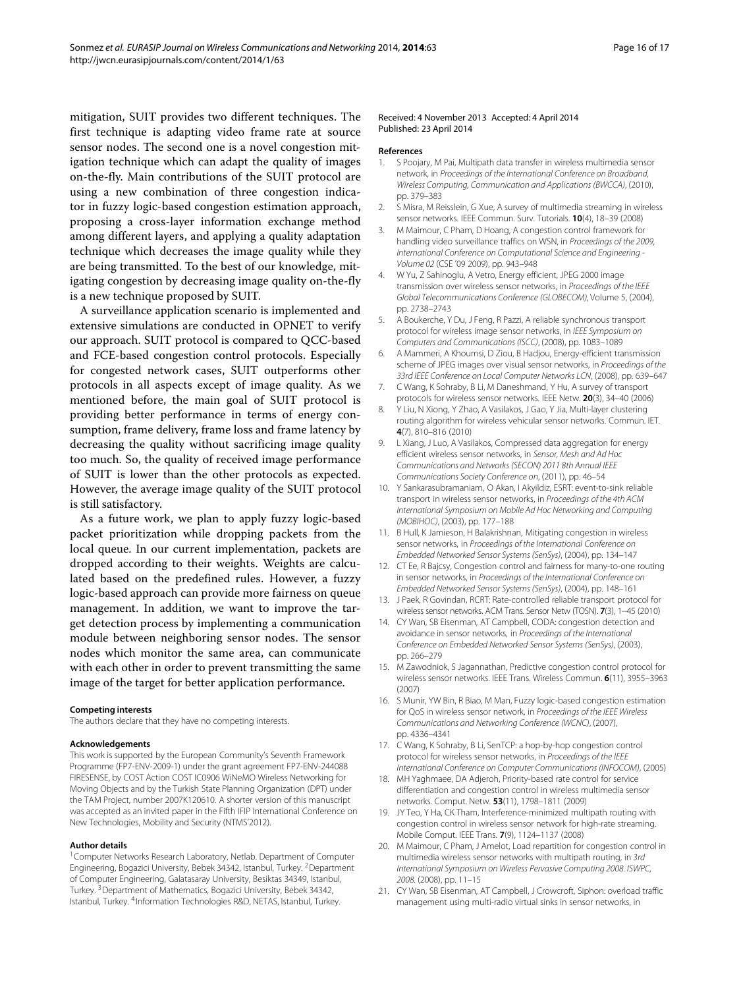mitigation, SUIT provides two different techniques. The first technique is adapting video frame rate at source sensor nodes. The second one is a novel congestion mitigation technique which can adapt the quality of images on-the-fly. Main contributions of the SUIT protocol are using a new combination of three congestion indicator in fuzzy logic-based congestion estimation approach, proposing a cross-layer information exchange method among different layers, and applying a quality adaptation technique which decreases the image quality while they are being transmitted. To the best of our knowledge, mitigating congestion by decreasing image quality on-the-fly is a new technique proposed by SUIT.

A surveillance application scenario is implemented and extensive simulations are conducted in OPNET to verify our approach. SUIT protocol is compared to QCC-based and FCE-based congestion control protocols. Especially for congested network cases, SUIT outperforms other protocols in all aspects except of image quality. As we mentioned before, the main goal of SUIT protocol is providing better performance in terms of energy consumption, frame delivery, frame loss and frame latency by decreasing the quality without sacrificing image quality too much. So, the quality of received image performance of SUIT is lower than the other protocols as expected. However, the average image quality of the SUIT protocol is still satisfactory.

As a future work, we plan to apply fuzzy logic-based packet prioritization while dropping packets from the local queue. In our current implementation, packets are dropped according to their weights. Weights are calculated based on the predefined rules. However, a fuzzy logic-based approach can provide more fairness on queue management. In addition, we want to improve the target detection process by implementing a communication module between neighboring sensor nodes. The sensor nodes which monitor the same area, can communicate with each other in order to prevent transmitting the same image of the target for better application performance.

#### **Competing interests**

The authors declare that they have no competing interests.

#### **Acknowledgements**

This work is supported by the European Community's Seventh Framework Programme (FP7-ENV-2009-1) under the grant agreement FP7-ENV-244088 FIRESENSE, by COST Action COST IC0906 WiNeMO Wireless Networking for Moving Objects and by the Turkish State Planning Organization (DPT) under the TAM Project, number 2007K120610. A shorter version of this manuscript was accepted as an invited paper in the Fifth IFIP International Conference on New Technologies, Mobility and Security (NTMS'2012).

#### **Author details**

<sup>1</sup> Computer Networks Research Laboratory, Netlab. Department of Computer Engineering, Bogazici University, Bebek 34342, Istanbul, Turkey. <sup>2</sup>Department of Computer Engineering, Galatasaray University, Besiktas 34349, Istanbul, Turkey. <sup>3</sup> Department of Mathematics, Bogazici University, Bebek 34342, Istanbul, Turkey. <sup>4</sup>Information Technologies R&D, NETAS, Istanbul, Turkey.

#### Received: 4 November 2013 Accepted: 4 April 2014 Published: 23 April 2014

#### **References**

- <span id="page-15-0"></span>1. S Poojary, M Pai, Multipath data transfer in wireless multimedia sensor network, in *Proceedings of the International Conference on Broadband, Wireless Computing, Communication and Applications (BWCCA)*, (2010), pp. 379–383
- <span id="page-15-1"></span>2. S Misra, M Reisslein, G Xue, A survey of multimedia streaming in wireless sensor networks. IEEE Commun. Surv. Tutorials. **10**(4), 18–39 (2008)
- <span id="page-15-2"></span>3. M Maimour, C Pham, D Hoang, A congestion control framework for handling video surveillance traffics on WSN, in *Proceedings of the 2009, International Conference on Computational Science and Engineering - Volume 02* (CSE '09 2009), pp. 943–948
- <span id="page-15-3"></span>4. W Yu, Z Sahinoglu, A Vetro, Energy efficient, JPEG 2000 image transmission over wireless sensor networks, in *Proceedings of the IEEE Global Telecommunications Conference (GLOBECOM),* Volume 5, (2004), pp. 2738–2743
- 5. A Boukerche, Y Du, J Feng, R Pazzi, A reliable synchronous transport protocol for wireless image sensor networks, in *IEEE Symposium on Computers and Communications (ISCC)*, (2008), pp. 1083–1089
- <span id="page-15-4"></span>6. A Mammeri, A Khoumsi, D Ziou, B Hadjou, Energy-efficient transmission scheme of JPEG images over visual sensor networks, in *Proceedings of the 33rd IEEE Conference on Local Computer Networks LCN*, (2008), pp. 639–647
- <span id="page-15-5"></span>7. C Wang, K Sohraby, B Li, M Daneshmand, Y Hu, A survey of transport protocols for wireless sensor networks. IEEE Netw. **20**(3), 34–40 (2006)
- <span id="page-15-6"></span>8. Y Liu, N Xiong, Y Zhao, A Vasilakos, J Gao, Y Jia, Multi-layer clustering routing algorithm for wireless vehicular sensor networks. Commun. IET. **4**(7), 810–816 (2010)
- <span id="page-15-7"></span>9. L Xiang, J Luo, A Vasilakos, Compressed data aggregation for energy efficient wireless sensor networks, in *Sensor, Mesh and Ad Hoc Communications and Networks (SECON) 2011 8th Annual IEEE Communications Society Conference on*, (2011), pp. 46–54
- <span id="page-15-8"></span>10. Y Sankarasubramaniam, O Akan, I Akyildiz, ESRT: event-to-sink reliable transport in wireless sensor networks, in *Proceedings of the 4th ACM International Symposium on Mobile Ad Hoc Networking and Computing (MOBIHOC)*, (2003), pp. 177–188
- <span id="page-15-9"></span>11. B Hull, K Jamieson, H Balakrishnan, Mitigating congestion in wireless sensor networks, in *Proceedings of the International Conference on Embedded Networked Sensor Systems (SenSys)*, (2004), pp. 134–147
- <span id="page-15-10"></span>12. CT Ee, R Bajcsy, Congestion control and fairness for many-to-one routing in sensor networks, in *Proceedings of the International Conference on Embedded Networked Sensor Systems (SenSys)*, (2004), pp. 148–161
- <span id="page-15-11"></span>13. J Paek, R Govindan, RCRT: Rate-controlled reliable transport protocol for wireless sensor networks. ACM Trans. Sensor Netw (TOSN). **7**(3), 1--45 (2010)
- <span id="page-15-12"></span>14. CY Wan, SB Eisenman, AT Campbell, CODA: congestion detection and avoidance in sensor networks, in *Proceedings of the International Conference on Embedded Networked Sensor Systems (SenSys)*, (2003), pp. 266–279
- <span id="page-15-13"></span>15. M Zawodniok, S Jagannathan, Predictive congestion control protocol for wireless sensor networks. IEEE Trans. Wireless Commun. **6**(11), 3955–3963 (2007)
- <span id="page-15-14"></span>16. S Munir, YW Bin, R Biao, M Man, Fuzzy logic-based congestion estimation for QoS in wireless sensor network, in *Proceedings of the IEEE Wireless Communications and Networking Conference (WCNC)*, (2007), pp. 4336–4341
- <span id="page-15-15"></span>17. C Wang, K Sohraby, B Li, SenTCP: a hop-by-hop congestion control protocol for wireless sensor networks, in *Proceedings of the IEEE International Conference on Computer Communications (INFOCOM)*, (2005)
- <span id="page-15-16"></span>18. MH Yaghmaee, DA Adjeroh, Priority-based rate control for service differentiation and congestion control in wireless multimedia sensor networks. Comput. Netw. **53**(11), 1798–1811 (2009)
- <span id="page-15-17"></span>19. JY Teo, Y Ha, CK Tham, Interference-minimized multipath routing with congestion control in wireless sensor network for high-rate streaming. Mobile Comput. IEEE Trans. **7**(9), 1124–1137 (2008)
- <span id="page-15-18"></span>20. M Maimour, C Pham, J Amelot, Load repartition for congestion control in multimedia wireless sensor networks with multipath routing, in *3rd International Symposium on Wireless Pervasive Computing 2008. ISWPC, 2008.* (2008), pp. 11–15
- <span id="page-15-19"></span>21. CY Wan, SB Eisenman, AT Campbell, J Crowcroft, Siphon: overload traffic management using multi-radio virtual sinks in sensor networks, in